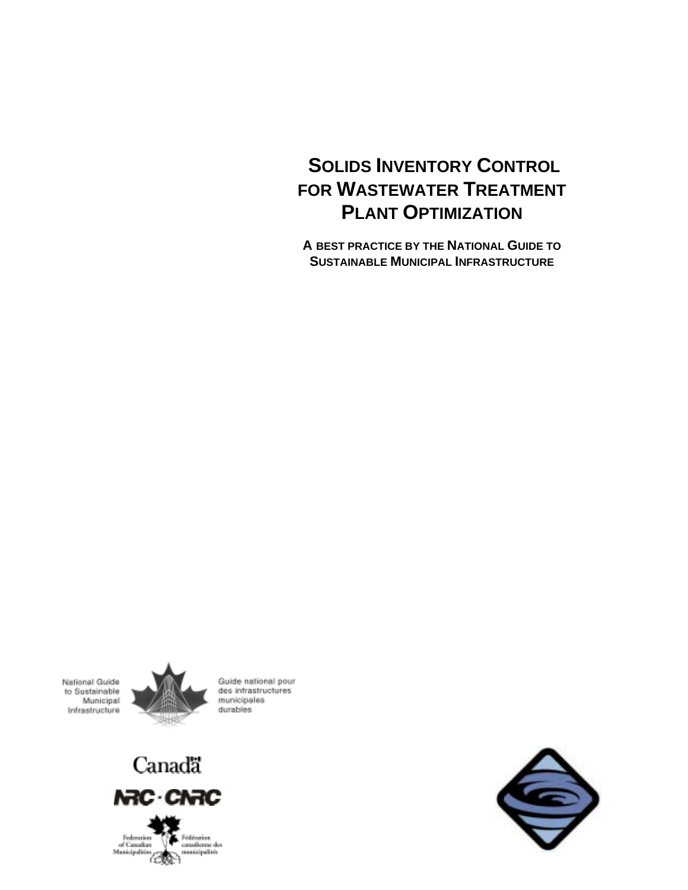# **SOLIDS INVENTORY CONTROL FOR WASTEWATER TREATMENT PLANT OPTIMIZATION**

**A BEST PRACTICE BY THE NATIONAL GUIDE TO SUSTAINABLE MUNICIPAL INFRASTRUCTURE**

National Guide to Sustainable Municipal Infrastructure



Guide national pour des infrastructures municipales durables



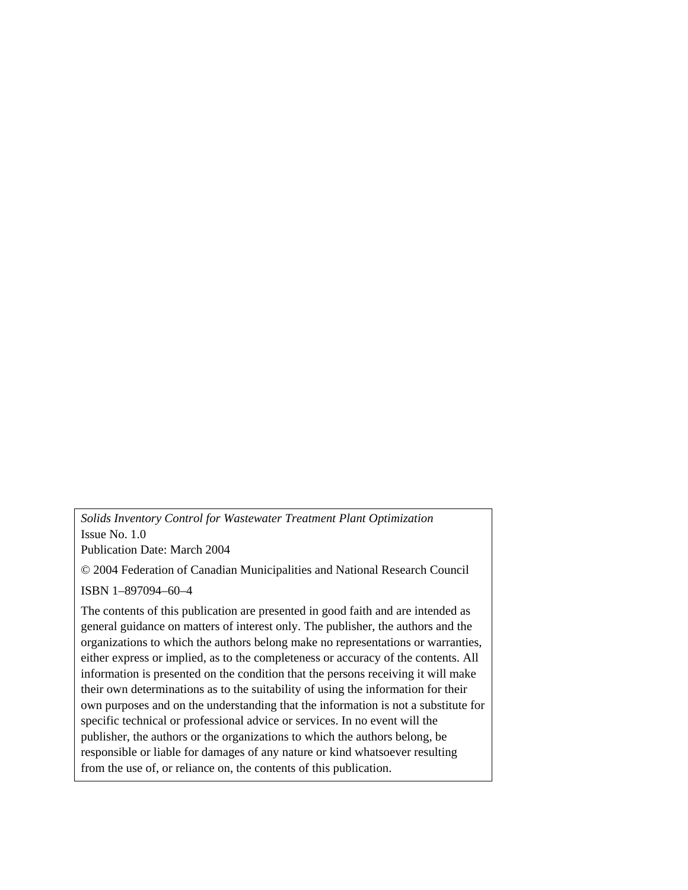*Solids Inventory Control for Wastewater Treatment Plant Optimization*  Issue No. 1.0

Publication Date: March 2004

© 2004 Federation of Canadian Municipalities and National Research Council

ISBN 1–897094–60–4

The contents of this publication are presented in good faith and are intended as general guidance on matters of interest only. The publisher, the authors and the organizations to which the authors belong make no representations or warranties, either express or implied, as to the completeness or accuracy of the contents. All information is presented on the condition that the persons receiving it will make their own determinations as to the suitability of using the information for their own purposes and on the understanding that the information is not a substitute for specific technical or professional advice or services. In no event will the publisher, the authors or the organizations to which the authors belong, be responsible or liable for damages of any nature or kind whatsoever resulting from the use of, or reliance on, the contents of this publication.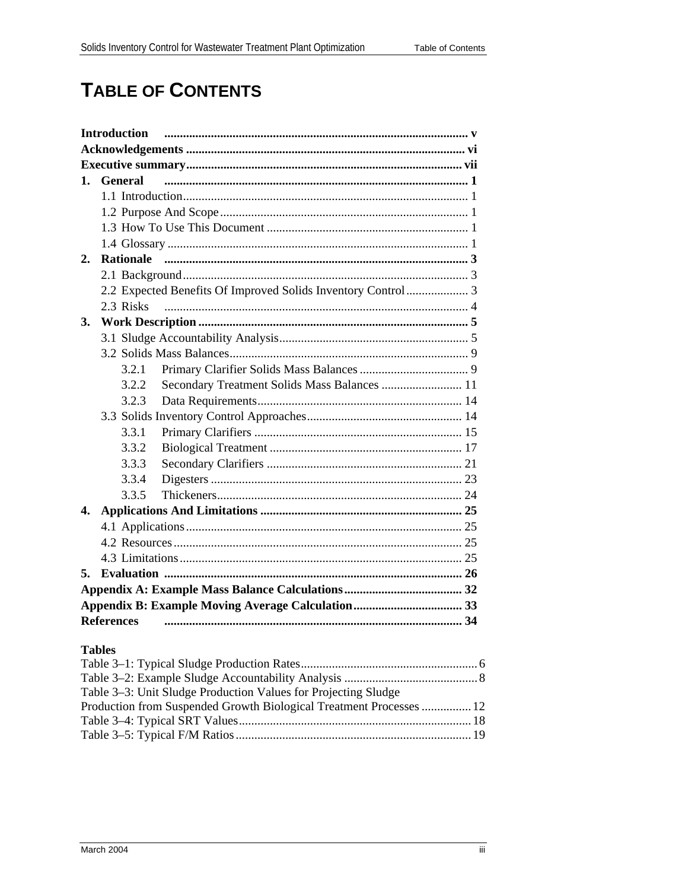# **TABLE OF CONTENTS**

| <b>Introduction</b> |                  |                                                              |  |
|---------------------|------------------|--------------------------------------------------------------|--|
|                     |                  |                                                              |  |
|                     |                  |                                                              |  |
| 1.                  | <b>General</b>   |                                                              |  |
|                     |                  |                                                              |  |
|                     |                  |                                                              |  |
|                     |                  |                                                              |  |
|                     |                  |                                                              |  |
| 2.                  | <b>Rationale</b> |                                                              |  |
|                     |                  |                                                              |  |
|                     |                  | 2.2 Expected Benefits Of Improved Solids Inventory Control 3 |  |
|                     | 2.3 Risks        |                                                              |  |
| <b>3.</b>           |                  |                                                              |  |
|                     |                  |                                                              |  |
|                     |                  |                                                              |  |
|                     | 3.2.1            |                                                              |  |
|                     | 3.2.2            | Secondary Treatment Solids Mass Balances  11                 |  |
|                     | 3.2.3            |                                                              |  |
|                     |                  |                                                              |  |
|                     | 3.3.1            |                                                              |  |
|                     | 3.3.2            |                                                              |  |
|                     | 3.3.3            |                                                              |  |
|                     | 3.3.4            |                                                              |  |
|                     | 3.3.5            |                                                              |  |
| 4.                  |                  |                                                              |  |
|                     |                  |                                                              |  |
|                     |                  |                                                              |  |
|                     |                  |                                                              |  |
| 5.                  |                  |                                                              |  |
|                     |                  |                                                              |  |
|                     |                  |                                                              |  |
| <b>References</b>   |                  |                                                              |  |

### **Tables**

| Table 3–3: Unit Sludge Production Values for Projecting Sludge      |  |
|---------------------------------------------------------------------|--|
| Production from Suspended Growth Biological Treatment Processes  12 |  |
|                                                                     |  |
|                                                                     |  |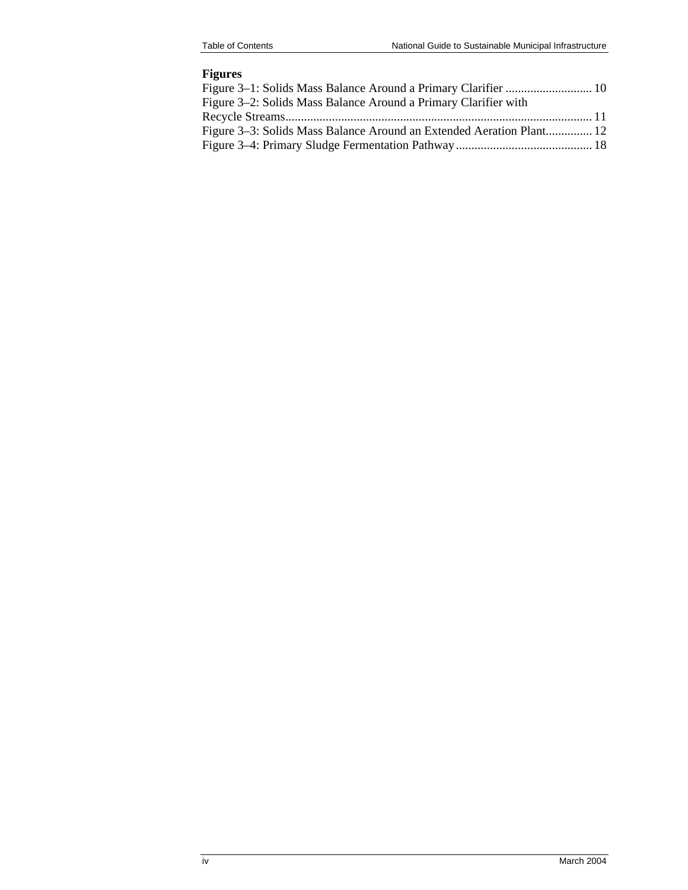#### **Figures**

| Figure 3–1: Solids Mass Balance Around a Primary Clarifier  10       |  |
|----------------------------------------------------------------------|--|
| Figure 3–2: Solids Mass Balance Around a Primary Clarifier with      |  |
|                                                                      |  |
| Figure 3–3: Solids Mass Balance Around an Extended Aeration Plant 12 |  |
|                                                                      |  |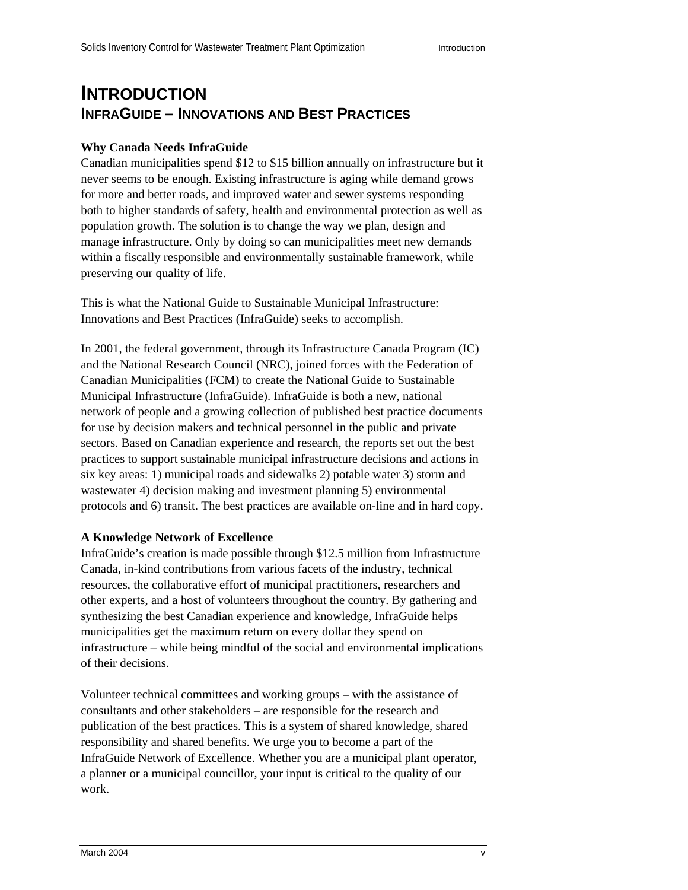## **INTRODUCTION INFRAGUIDE – INNOVATIONS AND BEST PRACTICES**

#### **Why Canada Needs InfraGuide**

Canadian municipalities spend \$12 to \$15 billion annually on infrastructure but it never seems to be enough. Existing infrastructure is aging while demand grows for more and better roads, and improved water and sewer systems responding both to higher standards of safety, health and environmental protection as well as population growth. The solution is to change the way we plan, design and manage infrastructure. Only by doing so can municipalities meet new demands within a fiscally responsible and environmentally sustainable framework, while preserving our quality of life.

This is what the National Guide to Sustainable Municipal Infrastructure: Innovations and Best Practices (InfraGuide) seeks to accomplish.

In 2001, the federal government, through its Infrastructure Canada Program (IC) and the National Research Council (NRC), joined forces with the Federation of Canadian Municipalities (FCM) to create the National Guide to Sustainable Municipal Infrastructure (InfraGuide). InfraGuide is both a new, national network of people and a growing collection of published best practice documents for use by decision makers and technical personnel in the public and private sectors. Based on Canadian experience and research, the reports set out the best practices to support sustainable municipal infrastructure decisions and actions in six key areas: 1) municipal roads and sidewalks 2) potable water 3) storm and wastewater 4) decision making and investment planning 5) environmental protocols and 6) transit. The best practices are available on-line and in hard copy.

#### **A Knowledge Network of Excellence**

InfraGuide's creation is made possible through \$12.5 million from Infrastructure Canada, in-kind contributions from various facets of the industry, technical resources, the collaborative effort of municipal practitioners, researchers and other experts, and a host of volunteers throughout the country. By gathering and synthesizing the best Canadian experience and knowledge, InfraGuide helps municipalities get the maximum return on every dollar they spend on infrastructure – while being mindful of the social and environmental implications of their decisions.

Volunteer technical committees and working groups – with the assistance of consultants and other stakeholders – are responsible for the research and publication of the best practices. This is a system of shared knowledge, shared responsibility and shared benefits. We urge you to become a part of the InfraGuide Network of Excellence. Whether you are a municipal plant operator, a planner or a municipal councillor, your input is critical to the quality of our work.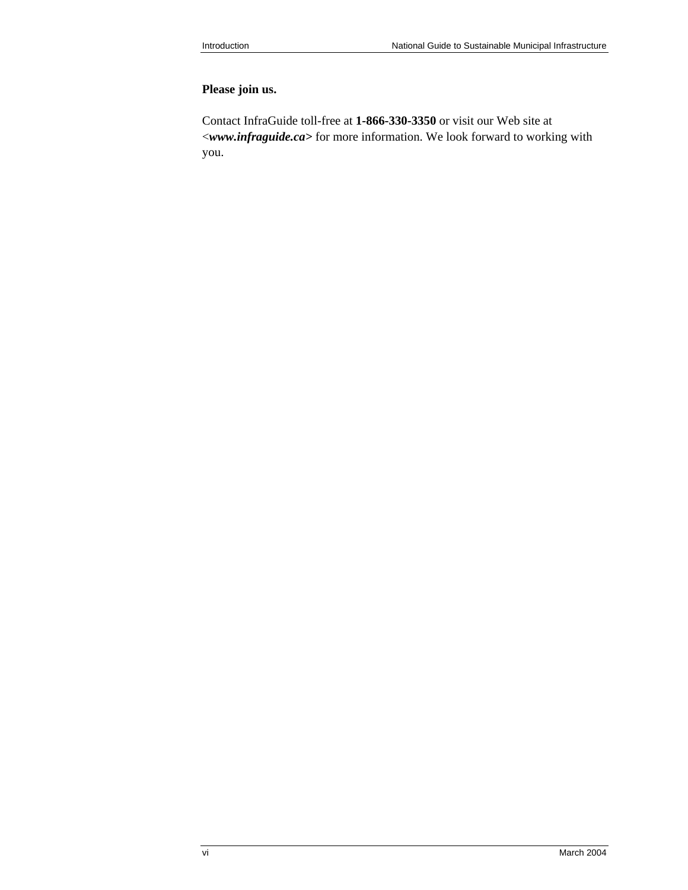### **Please join us.**

Contact InfraGuide toll-free at **1-866-330-3350** or visit our Web site at <*[www.infraguide.ca>](http://www.infraguide.ca)* for more information. We look forward to working with you.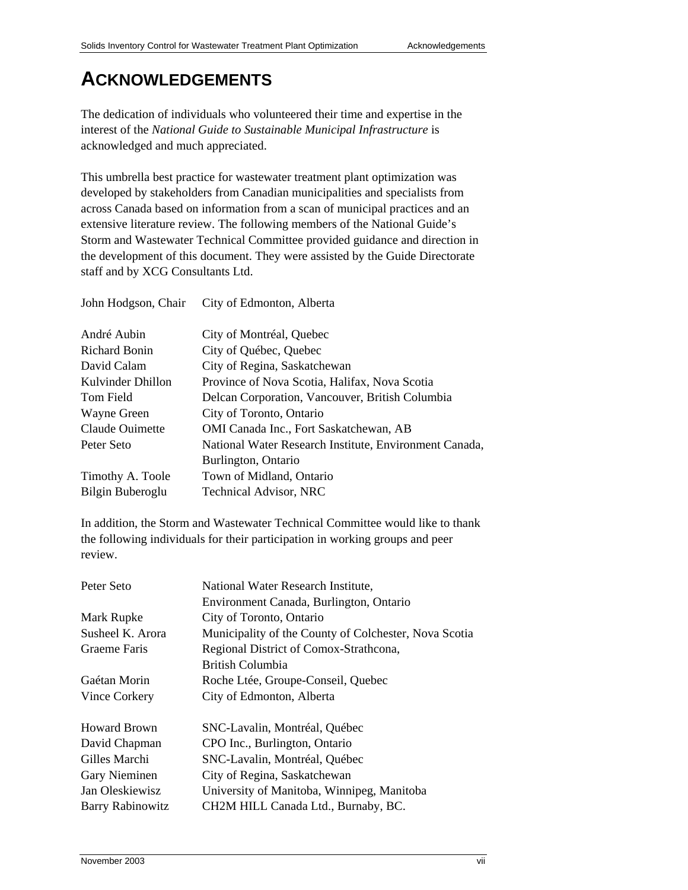## **ACKNOWLEDGEMENTS**

The dedication of individuals who volunteered their time and expertise in the interest of the *National Guide to Sustainable Municipal Infrastructure* is acknowledged and much appreciated.

This umbrella best practice for wastewater treatment plant optimization was developed by stakeholders from Canadian municipalities and specialists from across Canada based on information from a scan of municipal practices and an extensive literature review. The following members of the National Guide's Storm and Wastewater Technical Committee provided guidance and direction in the development of this document. They were assisted by the Guide Directorate staff and by XCG Consultants Ltd.

| John Hodgson, Chair | City of Edmonton, Alberta                              |
|---------------------|--------------------------------------------------------|
| André Aubin         | City of Montréal, Quebec                               |
| Richard Bonin       | City of Québec, Quebec                                 |
| David Calam         | City of Regina, Saskatchewan                           |
| Kulvinder Dhillon   | Province of Nova Scotia, Halifax, Nova Scotia          |
| Tom Field           | Delcan Corporation, Vancouver, British Columbia        |
| Wayne Green         | City of Toronto, Ontario                               |
| Claude Ouimette     | OMI Canada Inc., Fort Saskatchewan, AB                 |
| Peter Seto          | National Water Research Institute, Environment Canada, |
|                     | Burlington, Ontario                                    |
| Timothy A. Toole    | Town of Midland, Ontario                               |
| Bilgin Buberoglu    | <b>Technical Advisor, NRC</b>                          |

In addition, the Storm and Wastewater Technical Committee would like to thank the following individuals for their participation in working groups and peer review.

| National Water Research Institute,<br>Environment Canada, Burlington, Ontario |
|-------------------------------------------------------------------------------|
| City of Toronto, Ontario                                                      |
| Municipality of the County of Colchester, Nova Scotia                         |
| Regional District of Comox-Strathcona,                                        |
| <b>British Columbia</b>                                                       |
| Roche Ltée, Groupe-Conseil, Quebec                                            |
| City of Edmonton, Alberta                                                     |
| SNC-Lavalin, Montréal, Québec                                                 |
| CPO Inc., Burlington, Ontario                                                 |
| SNC-Lavalin, Montréal, Québec                                                 |
| City of Regina, Saskatchewan                                                  |
| University of Manitoba, Winnipeg, Manitoba                                    |
| CH2M HILL Canada Ltd., Burnaby, BC.                                           |
|                                                                               |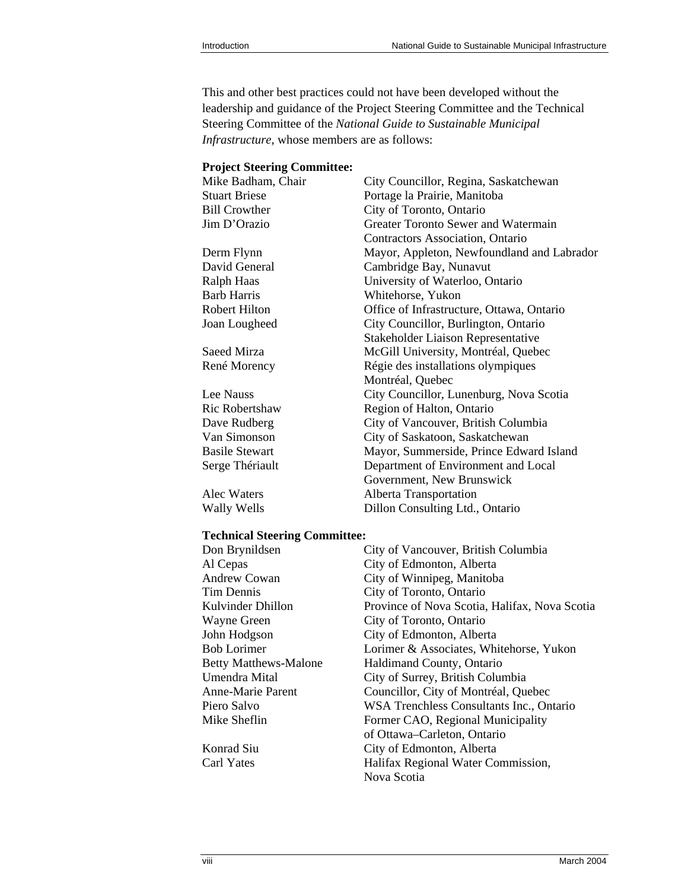This and other best practices could not have been developed without the leadership and guidance of the Project Steering Committee and the Technical Steering Committee of the *National Guide to Sustainable Municipal Infrastructure*, whose members are as follows:

#### **Project Steering Committee:**

| Mike Badham, Chair    | City Councillor, Regina, Saskatchewan      |
|-----------------------|--------------------------------------------|
| <b>Stuart Briese</b>  | Portage la Prairie, Manitoba               |
| <b>Bill Crowther</b>  | City of Toronto, Ontario                   |
| Jim D'Orazio          | Greater Toronto Sewer and Watermain        |
|                       | Contractors Association, Ontario           |
| Derm Flynn            | Mayor, Appleton, Newfoundland and Labrador |
| David General         | Cambridge Bay, Nunavut                     |
| Ralph Haas            | University of Waterloo, Ontario            |
| Barb Harris           | Whitehorse, Yukon                          |
| Robert Hilton         | Office of Infrastructure, Ottawa, Ontario  |
| Joan Lougheed         | City Councillor, Burlington, Ontario       |
|                       | <b>Stakeholder Liaison Representative</b>  |
| Saeed Mirza           | McGill University, Montréal, Quebec        |
| René Morency          | Régie des installations olympiques         |
|                       | Montréal, Quebec                           |
| Lee Nauss             | City Councillor, Lunenburg, Nova Scotia    |
| Ric Robertshaw        | Region of Halton, Ontario                  |
| Dave Rudberg          | City of Vancouver, British Columbia        |
| Van Simonson          | City of Saskatoon, Saskatchewan            |
| <b>Basile Stewart</b> | Mayor, Summerside, Prince Edward Island    |
| Serge Thériault       | Department of Environment and Local        |
|                       | Government, New Brunswick                  |
| Alec Waters           | Alberta Transportation                     |
| Wally Wells           | Dillon Consulting Ltd., Ontario            |

#### **Technical Steering Committee:**

| Don Brynildsen               | City of Vancouver, British Columbia             |
|------------------------------|-------------------------------------------------|
| Al Cepas                     | City of Edmonton, Alberta                       |
| <b>Andrew Cowan</b>          | City of Winnipeg, Manitoba                      |
| Tim Dennis                   | City of Toronto, Ontario                        |
| Kulvinder Dhillon            | Province of Nova Scotia, Halifax, Nova Scotia   |
| Wayne Green                  | City of Toronto, Ontario                        |
| John Hodgson                 | City of Edmonton, Alberta                       |
| Bob Lorimer                  | Lorimer & Associates, Whitehorse, Yukon         |
| <b>Betty Matthews-Malone</b> | Haldimand County, Ontario                       |
| Umendra Mital                | City of Surrey, British Columbia                |
| Anne-Marie Parent            | Councillor, City of Montréal, Quebec            |
| Piero Salvo                  | <b>WSA Trenchless Consultants Inc., Ontario</b> |
| Mike Sheflin                 | Former CAO, Regional Municipality               |
|                              | of Ottawa-Carleton, Ontario                     |
| Konrad Siu                   | City of Edmonton, Alberta                       |
| Carl Yates                   | Halifax Regional Water Commission,              |
|                              | Nova Scotia                                     |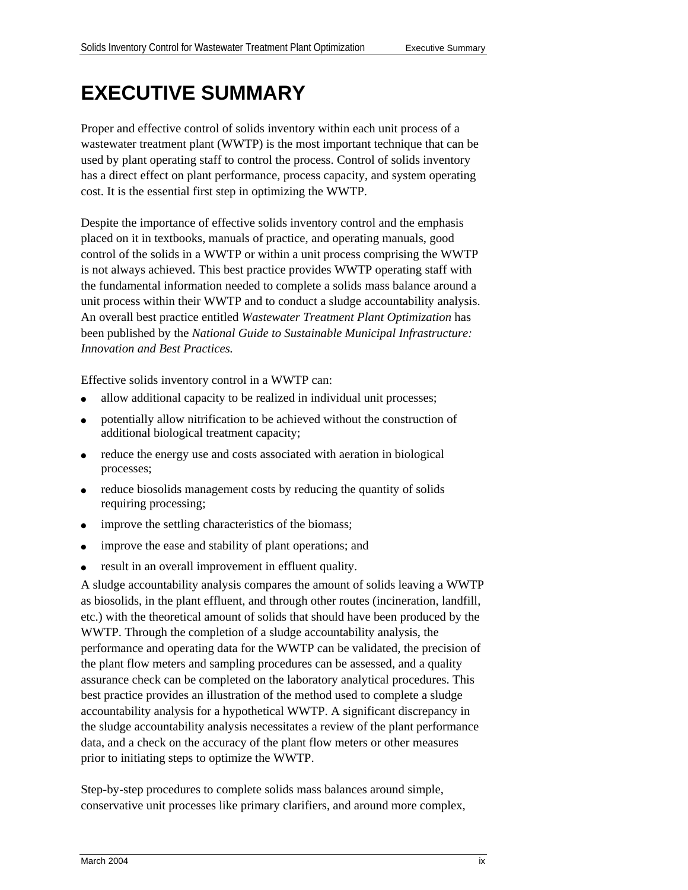# **EXECUTIVE SUMMARY**

Proper and effective control of solids inventory within each unit process of a wastewater treatment plant (WWTP) is the most important technique that can be used by plant operating staff to control the process. Control of solids inventory has a direct effect on plant performance, process capacity, and system operating cost. It is the essential first step in optimizing the WWTP.

Despite the importance of effective solids inventory control and the emphasis placed on it in textbooks, manuals of practice, and operating manuals, good control of the solids in a WWTP or within a unit process comprising the WWTP is not always achieved. This best practice provides WWTP operating staff with the fundamental information needed to complete a solids mass balance around a unit process within their WWTP and to conduct a sludge accountability analysis. An overall best practice entitled *Wastewater Treatment Plant Optimization* has been published by the *National Guide to Sustainable Municipal Infrastructure: Innovation and Best Practices.* 

Effective solids inventory control in a WWTP can:

- allow additional capacity to be realized in individual unit processes;
- potentially allow nitrification to be achieved without the construction of additional biological treatment capacity;
- reduce the energy use and costs associated with aeration in biological processes;
- reduce biosolids management costs by reducing the quantity of solids requiring processing;
- improve the settling characteristics of the biomass;
- improve the ease and stability of plant operations; and
- result in an overall improvement in effluent quality.

A sludge accountability analysis compares the amount of solids leaving a WWTP as biosolids, in the plant effluent, and through other routes (incineration, landfill, etc.) with the theoretical amount of solids that should have been produced by the WWTP. Through the completion of a sludge accountability analysis, the performance and operating data for the WWTP can be validated, the precision of the plant flow meters and sampling procedures can be assessed, and a quality assurance check can be completed on the laboratory analytical procedures. This best practice provides an illustration of the method used to complete a sludge accountability analysis for a hypothetical WWTP. A significant discrepancy in the sludge accountability analysis necessitates a review of the plant performance data, and a check on the accuracy of the plant flow meters or other measures prior to initiating steps to optimize the WWTP.

Step-by-step procedures to complete solids mass balances around simple, conservative unit processes like primary clarifiers, and around more complex,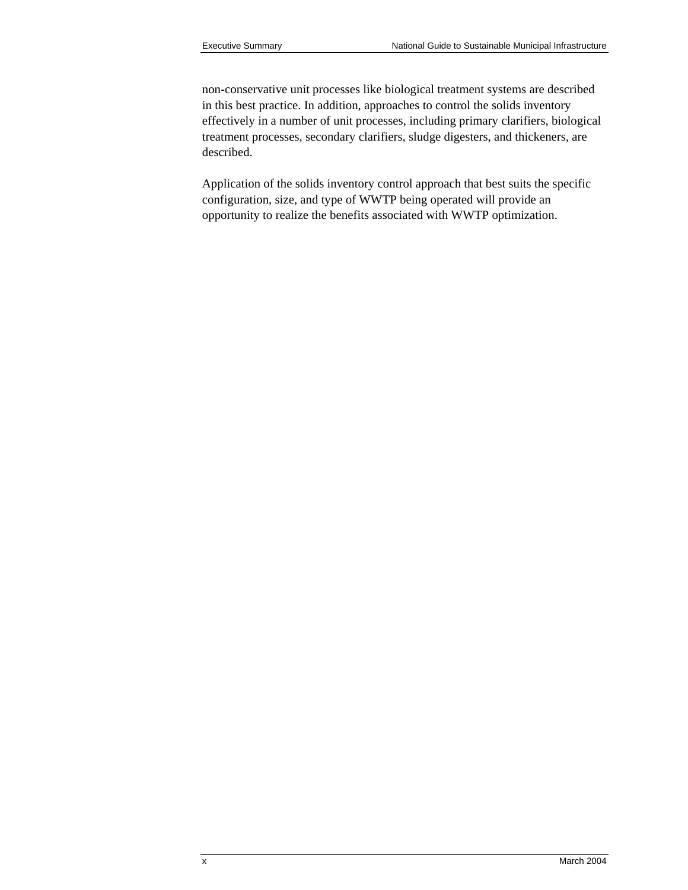non-conservative unit processes like biological treatment systems are described in this best practice. In addition, approaches to control the solids inventory effectively in a number of unit processes, including primary clarifiers, biological treatment processes, secondary clarifiers, sludge digesters, and thickeners, are described.

Application of the solids inventory control approach that best suits the specific configuration, size, and type of WWTP being operated will provide an opportunity to realize the benefits associated with WWTP optimization.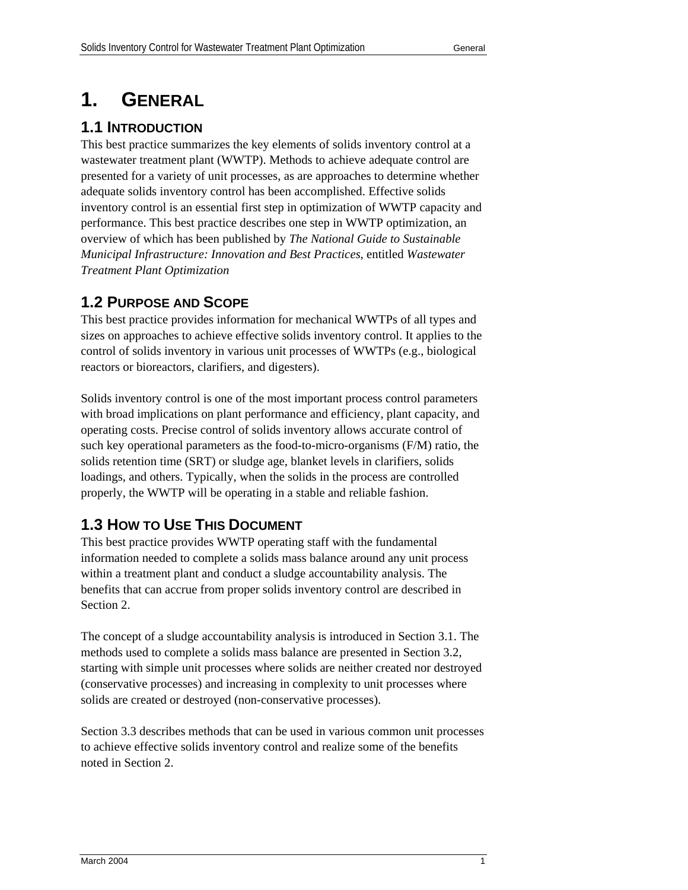# **1. GENERAL**

## **1.1 INTRODUCTION**

This best practice summarizes the key elements of solids inventory control at a wastewater treatment plant (WWTP). Methods to achieve adequate control are presented for a variety of unit processes, as are approaches to determine whether adequate solids inventory control has been accomplished. Effective solids inventory control is an essential first step in optimization of WWTP capacity and performance. This best practice describes one step in WWTP optimization, an overview of which has been published by *The National Guide to Sustainable Municipal Infrastructure: Innovation and Best Practices*, entitled *Wastewater Treatment Plant Optimization*

## **1.2 PURPOSE AND SCOPE**

This best practice provides information for mechanical WWTPs of all types and sizes on approaches to achieve effective solids inventory control. It applies to the control of solids inventory in various unit processes of WWTPs (e.g., biological reactors or bioreactors, clarifiers, and digesters).

Solids inventory control is one of the most important process control parameters with broad implications on plant performance and efficiency, plant capacity, and operating costs. Precise control of solids inventory allows accurate control of such key operational parameters as the food-to-micro-organisms (F/M) ratio, the solids retention time (SRT) or sludge age, blanket levels in clarifiers, solids loadings, and others. Typically, when the solids in the process are controlled properly, the WWTP will be operating in a stable and reliable fashion.

## **1.3 HOW TO USE THIS DOCUMENT**

This best practice provides WWTP operating staff with the fundamental information needed to complete a solids mass balance around any unit process within a treatment plant and conduct a sludge accountability analysis. The benefits that can accrue from proper solids inventory control are described in Section 2.

The concept of a sludge accountability analysis is introduced in Section 3.1. The methods used to complete a solids mass balance are presented in Section 3.2, starting with simple unit processes where solids are neither created nor destroyed (conservative processes) and increasing in complexity to unit processes where solids are created or destroyed (non-conservative processes).

Section 3.3 describes methods that can be used in various common unit processes to achieve effective solids inventory control and realize some of the benefits noted in Section 2.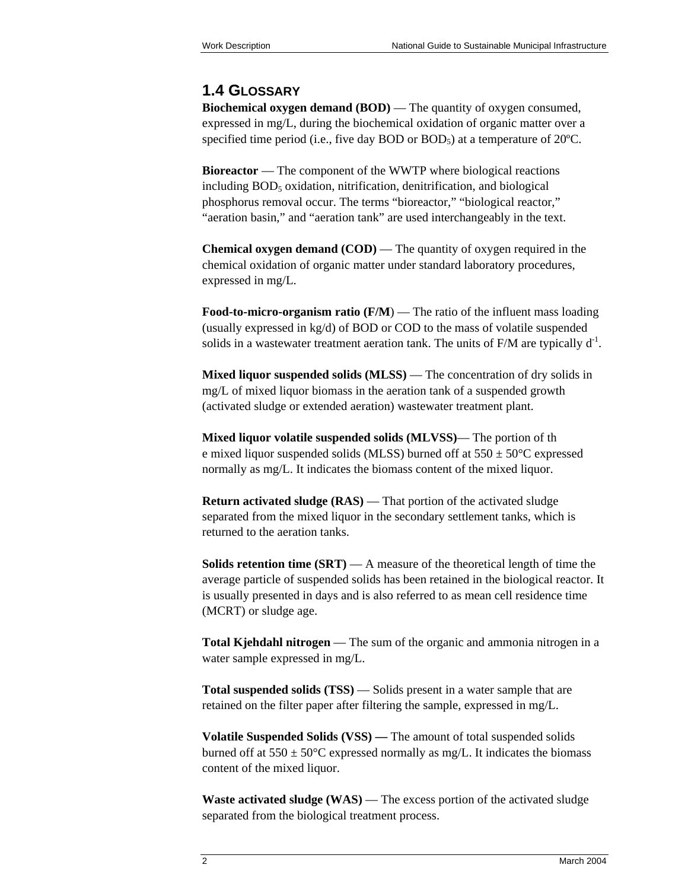### **1.4 GLOSSARY**

**Biochemical oxygen demand (BOD)** — The quantity of oxygen consumed, expressed in mg/L, during the biochemical oxidation of organic matter over a specified time period (i.e., five day BOD or  $BOD<sub>5</sub>$ ) at a temperature of  $20^{\circ}$ C.

**Bioreactor** — The component of the WWTP where biological reactions  $including BOD<sub>5</sub> oxidation, nitrification, denitrification, and biological$ phosphorus removal occur. The terms "bioreactor," "biological reactor," "aeration basin," and "aeration tank" are used interchangeably in the text.

**Chemical oxygen demand (COD)** — The quantity of oxygen required in the chemical oxidation of organic matter under standard laboratory procedures, expressed in mg/L.

**Food-to-micro-organism ratio (F/M)** — The ratio of the influent mass loading (usually expressed in kg/d) of BOD or COD to the mass of volatile suspended solids in a wastewater treatment aeration tank. The units of  $F/M$  are typically  $d<sup>-1</sup>$ .

**Mixed liquor suspended solids (MLSS)** — The concentration of dry solids in mg/L of mixed liquor biomass in the aeration tank of a suspended growth (activated sludge or extended aeration) wastewater treatment plant.

**Mixed liquor volatile suspended solids (MLVSS)**— The portion of th e mixed liquor suspended solids (MLSS) burned off at  $550 \pm 50^{\circ}$ C expressed normally as mg/L. It indicates the biomass content of the mixed liquor.

**Return activated sludge (RAS)** — That portion of the activated sludge separated from the mixed liquor in the secondary settlement tanks, which is returned to the aeration tanks.

**Solids retention time (SRT)** — A measure of the theoretical length of time the average particle of suspended solids has been retained in the biological reactor. It is usually presented in days and is also referred to as mean cell residence time (MCRT) or sludge age.

**Total Kjehdahl nitrogen** — The sum of the organic and ammonia nitrogen in a water sample expressed in mg/L.

**Total suspended solids (TSS)** — Solids present in a water sample that are retained on the filter paper after filtering the sample, expressed in mg/L.

**Volatile Suspended Solids (VSS) —** The amount of total suspended solids burned off at  $550 \pm 50^{\circ}$ C expressed normally as mg/L. It indicates the biomass content of the mixed liquor.

**Waste activated sludge (WAS)** — The excess portion of the activated sludge separated from the biological treatment process.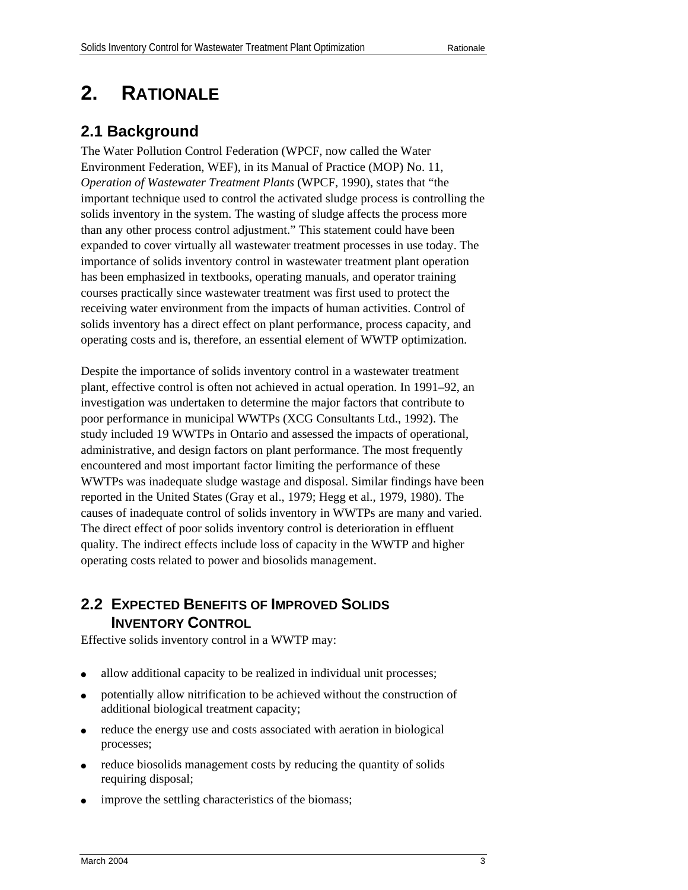# **2. RATIONALE**

## **2.1 Background**

The Water Pollution Control Federation (WPCF, now called the Water Environment Federation, WEF), in its Manual of Practice (MOP) No. 11, *Operation of Wastewater Treatment Plants* (WPCF, 1990), states that "the important technique used to control the activated sludge process is controlling the solids inventory in the system. The wasting of sludge affects the process more than any other process control adjustment." This statement could have been expanded to cover virtually all wastewater treatment processes in use today. The importance of solids inventory control in wastewater treatment plant operation has been emphasized in textbooks, operating manuals, and operator training courses practically since wastewater treatment was first used to protect the receiving water environment from the impacts of human activities. Control of solids inventory has a direct effect on plant performance, process capacity, and operating costs and is, therefore, an essential element of WWTP optimization.

Despite the importance of solids inventory control in a wastewater treatment plant, effective control is often not achieved in actual operation. In 1991–92, an investigation was undertaken to determine the major factors that contribute to poor performance in municipal WWTPs (XCG Consultants Ltd., 1992). The study included 19 WWTPs in Ontario and assessed the impacts of operational, administrative, and design factors on plant performance. The most frequently encountered and most important factor limiting the performance of these WWTPs was inadequate sludge wastage and disposal. Similar findings have been reported in the United States (Gray et al., 1979; Hegg et al., 1979, 1980). The causes of inadequate control of solids inventory in WWTPs are many and varied. The direct effect of poor solids inventory control is deterioration in effluent quality. The indirect effects include loss of capacity in the WWTP and higher operating costs related to power and biosolids management.

## **2.2 EXPECTED BENEFITS OF IMPROVED SOLIDS INVENTORY CONTROL**

Effective solids inventory control in a WWTP may:

- allow additional capacity to be realized in individual unit processes;
- potentially allow nitrification to be achieved without the construction of additional biological treatment capacity;
- reduce the energy use and costs associated with aeration in biological processes;
- reduce biosolids management costs by reducing the quantity of solids requiring disposal;
- improve the settling characteristics of the biomass;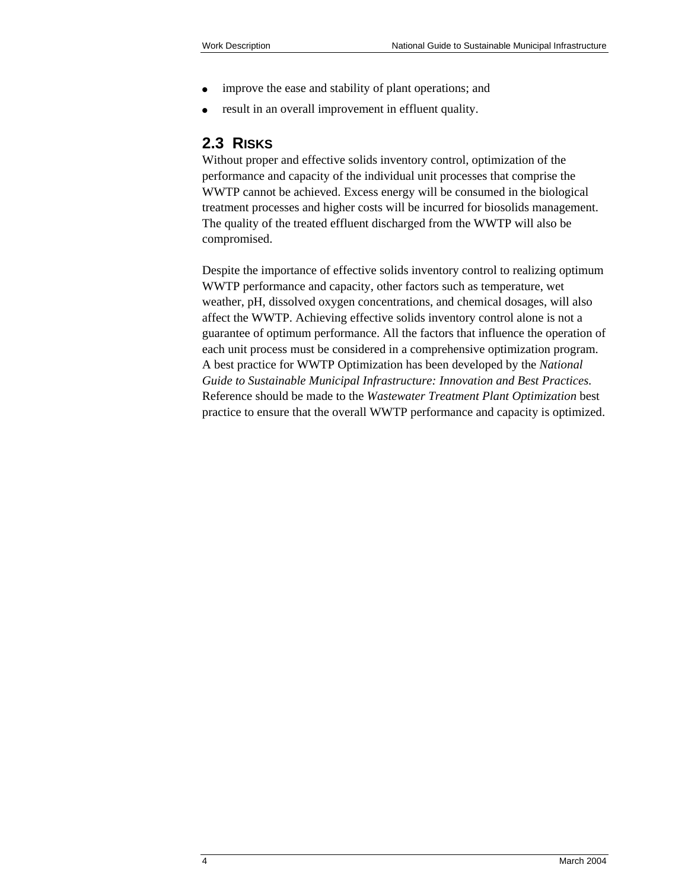- improve the ease and stability of plant operations; and
- result in an overall improvement in effluent quality.

## **2.3 RISKS**

Without proper and effective solids inventory control, optimization of the performance and capacity of the individual unit processes that comprise the WWTP cannot be achieved. Excess energy will be consumed in the biological treatment processes and higher costs will be incurred for biosolids management. The quality of the treated effluent discharged from the WWTP will also be compromised.

Despite the importance of effective solids inventory control to realizing optimum WWTP performance and capacity, other factors such as temperature, wet weather, pH, dissolved oxygen concentrations, and chemical dosages, will also affect the WWTP. Achieving effective solids inventory control alone is not a guarantee of optimum performance. All the factors that influence the operation of each unit process must be considered in a comprehensive optimization program. A best practice for WWTP Optimization has been developed by the *National Guide to Sustainable Municipal Infrastructure: Innovation and Best Practices.*  Reference should be made to the *Wastewater Treatment Plant Optimization* best practice to ensure that the overall WWTP performance and capacity is optimized.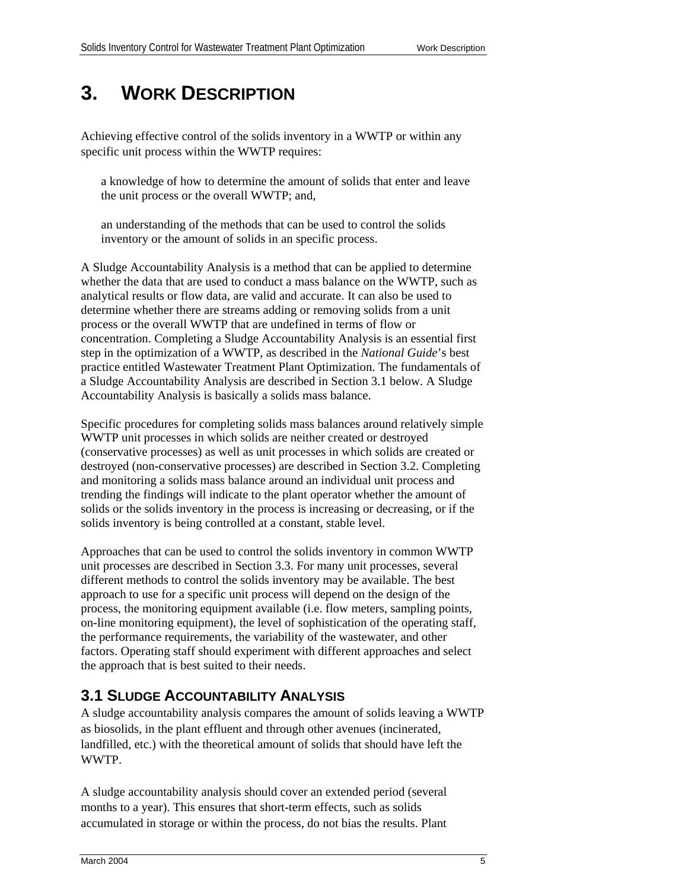# **3. WORK DESCRIPTION**

Achieving effective control of the solids inventory in a WWTP or within any specific unit process within the WWTP requires:

 a knowledge of how to determine the amount of solids that enter and leave the unit process or the overall WWTP; and,

 an understanding of the methods that can be used to control the solids inventory or the amount of solids in an specific process.

A Sludge Accountability Analysis is a method that can be applied to determine whether the data that are used to conduct a mass balance on the WWTP, such as analytical results or flow data, are valid and accurate. It can also be used to determine whether there are streams adding or removing solids from a unit process or the overall WWTP that are undefined in terms of flow or concentration. Completing a Sludge Accountability Analysis is an essential first step in the optimization of a WWTP, as described in the *National Guide*'s best practice entitled Wastewater Treatment Plant Optimization. The fundamentals of a Sludge Accountability Analysis are described in Section 3.1 below. A Sludge Accountability Analysis is basically a solids mass balance.

Specific procedures for completing solids mass balances around relatively simple WWTP unit processes in which solids are neither created or destroyed (conservative processes) as well as unit processes in which solids are created or destroyed (non-conservative processes) are described in Section 3.2. Completing and monitoring a solids mass balance around an individual unit process and trending the findings will indicate to the plant operator whether the amount of solids or the solids inventory in the process is increasing or decreasing, or if the solids inventory is being controlled at a constant, stable level.

Approaches that can be used to control the solids inventory in common WWTP unit processes are described in Section 3.3. For many unit processes, several different methods to control the solids inventory may be available. The best approach to use for a specific unit process will depend on the design of the process, the monitoring equipment available (i.e. flow meters, sampling points, on-line monitoring equipment), the level of sophistication of the operating staff, the performance requirements, the variability of the wastewater, and other factors. Operating staff should experiment with different approaches and select the approach that is best suited to their needs.

## **3.1 SLUDGE ACCOUNTABILITY ANALYSIS**

A sludge accountability analysis compares the amount of solids leaving a WWTP as biosolids, in the plant effluent and through other avenues (incinerated, landfilled, etc.) with the theoretical amount of solids that should have left the WWTP.

A sludge accountability analysis should cover an extended period (several months to a year). This ensures that short-term effects, such as solids accumulated in storage or within the process, do not bias the results. Plant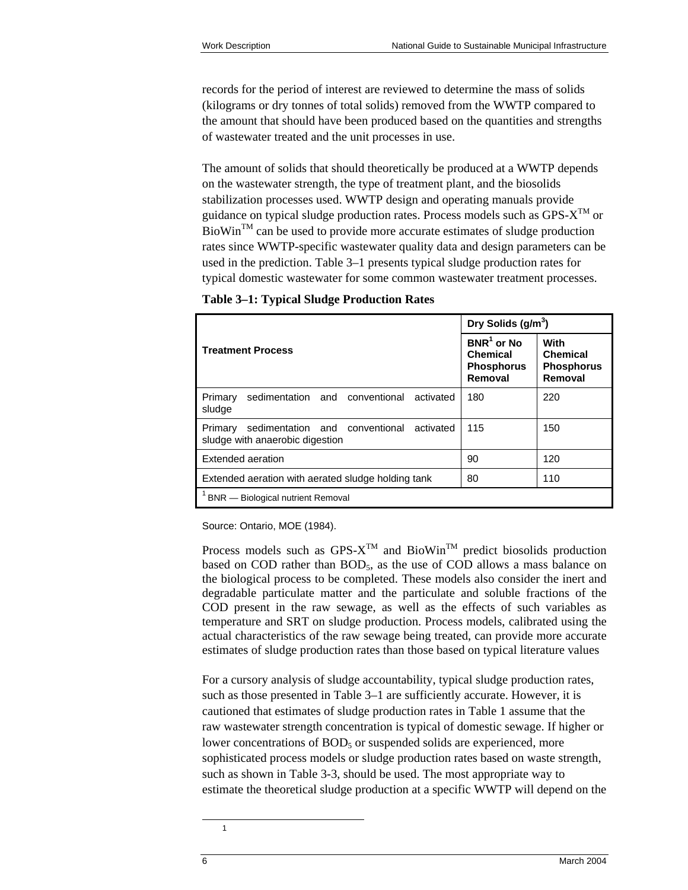records for the period of interest are reviewed to determine the mass of solids (kilograms or dry tonnes of total solids) removed from the WWTP compared to the amount that should have been produced based on the quantities and strengths of wastewater treated and the unit processes in use.

The amount of solids that should theoretically be produced at a WWTP depends on the wastewater strength, the type of treatment plant, and the biosolids stabilization processes used. WWTP design and operating manuals provide guidance on typical sludge production rates. Process models such as  $GPS-X^{TM}$  or  $Biowin<sup>TM</sup>$  can be used to provide more accurate estimates of sludge production rates since WWTP-specific wastewater quality data and design parameters can be used in the prediction. Table 3–1 presents typical sludge production rates for typical domestic wastewater for some common wastewater treatment processes.

**Table 3–1: Typical Sludge Production Rates** 

|                                                                                           | Dry Solids $(g/m^3)$                                     |                                                         |
|-------------------------------------------------------------------------------------------|----------------------------------------------------------|---------------------------------------------------------|
| <b>Treatment Process</b>                                                                  | $BNR1$ or No<br>Chemical<br><b>Phosphorus</b><br>Removal | With<br><b>Chemical</b><br><b>Phosphorus</b><br>Removal |
| sedimentation and conventional<br>Primary<br>activated<br>sludge                          | 180                                                      | 220                                                     |
| sedimentation and conventional<br>activated<br>Primary<br>sludge with anaerobic digestion | 115                                                      | 150                                                     |
| Extended aeration                                                                         | 90                                                       | 120                                                     |
| Extended aeration with aerated sludge holding tank                                        | 80                                                       | 110                                                     |
| <b>BNR</b> - Biological nutrient Removal                                                  |                                                          |                                                         |

Source: Ontario, MOE (1984).

Process models such as  $GPS-X^{TM}$  and BioWin<sup>TM</sup> predict biosolids production based on COD rather than  $BOD<sub>5</sub>$ , as the use of COD allows a mass balance on the biological process to be completed. These models also consider the inert and degradable particulate matter and the particulate and soluble fractions of the COD present in the raw sewage, as well as the effects of such variables as temperature and SRT on sludge production. Process models, calibrated using the actual characteristics of the raw sewage being treated, can provide more accurate estimates of sludge production rates than those based on typical literature values

For a cursory analysis of sludge accountability, typical sludge production rates, such as those presented in Table 3–1 are sufficiently accurate. However, it is cautioned that estimates of sludge production rates in Table 1 assume that the raw wastewater strength concentration is typical of domestic sewage. If higher or lower concentrations of  $BOD<sub>5</sub>$  or suspended solids are experienced, more sophisticated process models or sludge production rates based on waste strength, such as shown in Table 3-3, should be used. The most appropriate way to estimate the theoretical sludge production at a specific WWTP will depend on the

<span id="page-15-0"></span>1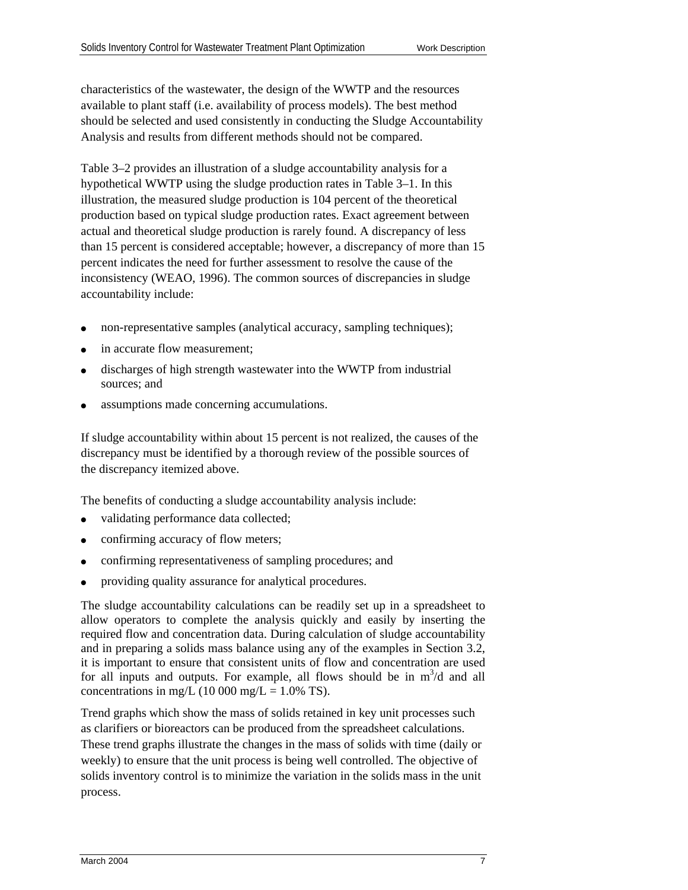characteristics of the wastewater, the design of the WWTP and the resources available to plant staff (i.e. availability of process models). The best method should be selected and used consistently in conducting the Sludge Accountability Analysis and results from different methods should not be compared.

Table 3–2 provides an illustration of a sludge accountability analysis for a hypothetical WWTP using the sludge production rates in Table 3–1. In this illustration, the measured sludge production is 104 percent of the theoretical production based on typical sludge production rates. Exact agreement between actual and theoretical sludge production is rarely found. A discrepancy of less than 15 percent is considered acceptable; however, a discrepancy of more than 15 percent indicates the need for further assessment to resolve the cause of the inconsistency (WEAO, 1996). The common sources of discrepancies in sludge accountability include:

- non-representative samples (analytical accuracy, sampling techniques);
- in accurate flow measurement:
- discharges of high strength wastewater into the WWTP from industrial sources; and
- assumptions made concerning accumulations.

If sludge accountability within about 15 percent is not realized, the causes of the discrepancy must be identified by a thorough review of the possible sources of the discrepancy itemized above.

The benefits of conducting a sludge accountability analysis include:

- validating performance data collected;
- confirming accuracy of flow meters;
- ( confirming representativeness of sampling procedures; and
- providing quality assurance for analytical procedures.

The sludge accountability calculations can be readily set up in a spreadsheet to allow operators to complete the analysis quickly and easily by inserting the required flow and concentration data. During calculation of sludge accountability and in preparing a solids mass balance using any of the examples in Section 3.2, it is important to ensure that consistent units of flow and concentration are used for all inputs and outputs. For example, all flows should be in  $m^3/d$  and all concentrations in mg/L (10 000 mg/L =  $1.0\%$  TS).

Trend graphs which show the mass of solids retained in key unit processes such as clarifiers or bioreactors can be produced from the spreadsheet calculations. These trend graphs illustrate the changes in the mass of solids with time (daily or weekly) to ensure that the unit process is being well controlled. The objective of solids inventory control is to minimize the variation in the solids mass in the unit process.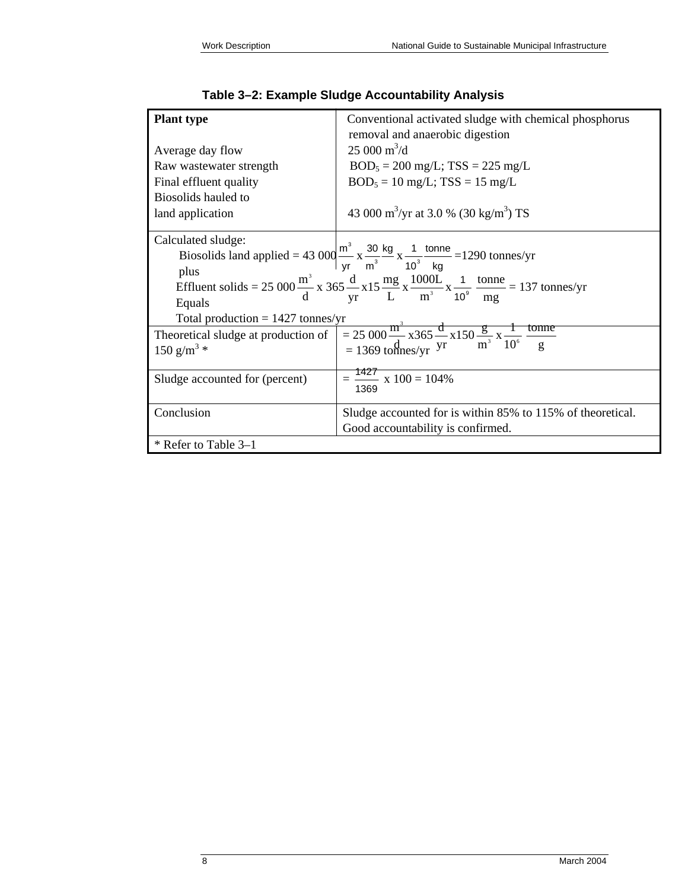| <b>Plant type</b>                                                                                                                                                                                                                                                                                                                                                                                                                                                                                                                                                                                                                | Conventional activated sludge with chemical phosphorus<br>removal and anaerobic digestion |
|----------------------------------------------------------------------------------------------------------------------------------------------------------------------------------------------------------------------------------------------------------------------------------------------------------------------------------------------------------------------------------------------------------------------------------------------------------------------------------------------------------------------------------------------------------------------------------------------------------------------------------|-------------------------------------------------------------------------------------------|
| Average day flow                                                                                                                                                                                                                                                                                                                                                                                                                                                                                                                                                                                                                 | $25000 \text{ m}^3/\text{d}$                                                              |
| Raw wastewater strength                                                                                                                                                                                                                                                                                                                                                                                                                                                                                                                                                                                                          | $BOD_5 = 200$ mg/L; TSS = 225 mg/L                                                        |
| Final effluent quality                                                                                                                                                                                                                                                                                                                                                                                                                                                                                                                                                                                                           | $BOD_5 = 10$ mg/L; TSS = 15 mg/L                                                          |
| Biosolids hauled to                                                                                                                                                                                                                                                                                                                                                                                                                                                                                                                                                                                                              |                                                                                           |
| land application                                                                                                                                                                                                                                                                                                                                                                                                                                                                                                                                                                                                                 | 43 000 m <sup>3</sup> /yr at 3.0 % (30 kg/m <sup>3</sup> ) TS                             |
| Calculated sludge:<br>Biosolids land applied = 43 000 $\frac{m^3}{vr}$ x $\frac{30 \text{ kg}}{m^3}$ x $\frac{1}{10^3}$ tonne = 1290 tonnes/yr<br>plus<br>Effluent solids = 25 000 $\frac{m^3}{d}$ x 365 $\frac{d}{yr}$ x 15 $\frac{mg}{L}$ x $\frac{1000L}{m^3}$ x $\frac{1}{10^9}$ $\frac{\text{tonne}}{\text{mg}}$ = 137 tonnes/yr<br>Equals<br>Total production = $1427$ tonnes/yr<br>Theoretical sludge at production of $= 25\,000 \frac{\text{m}^3}{\text{d}} \times 365 \frac{\text{d}}{\text{yr}} \times 150 \frac{\text{g}}{\text{m}^3} \times \frac{1}{10^6} \frac{\text{tomne}}{\text{g}}$<br>150 g/m <sup>3</sup> * |                                                                                           |
| Sludge accounted for (percent)                                                                                                                                                                                                                                                                                                                                                                                                                                                                                                                                                                                                   | $=$ $\frac{1427}{100}$ x $100 = 104\%$<br>1369                                            |
| Conclusion                                                                                                                                                                                                                                                                                                                                                                                                                                                                                                                                                                                                                       | Sludge accounted for is within 85% to 115% of theoretical.                                |
|                                                                                                                                                                                                                                                                                                                                                                                                                                                                                                                                                                                                                                  | Good accountability is confirmed.                                                         |
| * Refer to Table 3–1                                                                                                                                                                                                                                                                                                                                                                                                                                                                                                                                                                                                             |                                                                                           |

|  |  |  | Table 3–2: Example Sludge Accountability Analysis |  |
|--|--|--|---------------------------------------------------|--|
|--|--|--|---------------------------------------------------|--|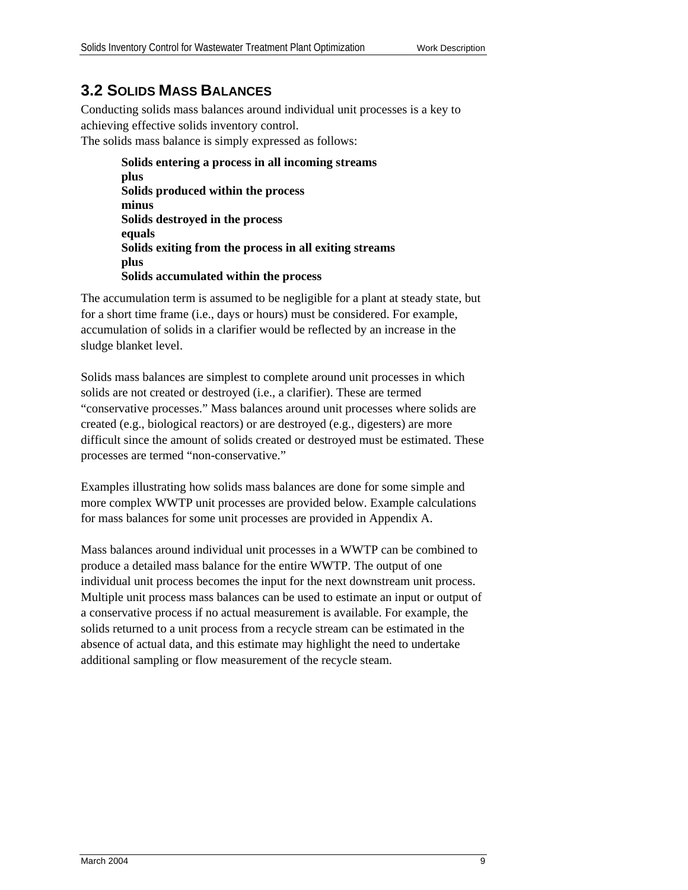### **3.2 SOLIDS MASS BALANCES**

Conducting solids mass balances around individual unit processes is a key to achieving effective solids inventory control. The solids mass balance is simply expressed as follows:

> **Solids entering a process in all incoming streams plus Solids produced within the process minus Solids destroyed in the process equals Solids exiting from the process in all exiting streams plus Solids accumulated within the process**

The accumulation term is assumed to be negligible for a plant at steady state, but for a short time frame (i.e., days or hours) must be considered. For example, accumulation of solids in a clarifier would be reflected by an increase in the sludge blanket level.

Solids mass balances are simplest to complete around unit processes in which solids are not created or destroyed (i.e., a clarifier). These are termed "conservative processes." Mass balances around unit processes where solids are created (e.g., biological reactors) or are destroyed (e.g., digesters) are more difficult since the amount of solids created or destroyed must be estimated. These processes are termed "non-conservative."

Examples illustrating how solids mass balances are done for some simple and more complex WWTP unit processes are provided below. Example calculations for mass balances for some unit processes are provided in Appendix A.

Mass balances around individual unit processes in a WWTP can be combined to produce a detailed mass balance for the entire WWTP. The output of one individual unit process becomes the input for the next downstream unit process. Multiple unit process mass balances can be used to estimate an input or output of a conservative process if no actual measurement is available. For example, the solids returned to a unit process from a recycle stream can be estimated in the absence of actual data, and this estimate may highlight the need to undertake additional sampling or flow measurement of the recycle steam.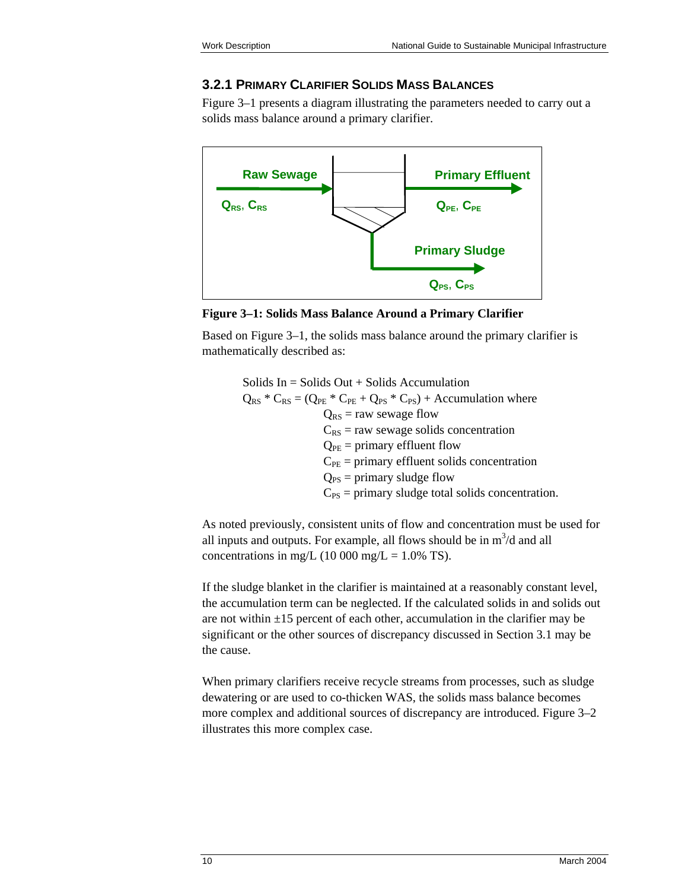#### **3.2.1 PRIMARY CLARIFIER SOLIDS MASS BALANCES**

Figure 3–1 presents a diagram illustrating the parameters needed to carry out a solids mass balance around a primary clarifier.



**Figure 3–1: Solids Mass Balance Around a Primary Clarifier**

Based on Figure 3–1, the solids mass balance around the primary clarifier is mathematically described as:

> Solids  $In = Solids Out + Solids$  Accumulation  $Q_{RS}$  \*  $C_{RS} = (Q_{PE}$  \*  $C_{PE} + Q_{PS}$  \*  $C_{PS}$ ) + Accumulation where  $Q_{RS}$  = raw sewage flow  $C_{RS}$  = raw sewage solids concentration  $Q_{PE}$  = primary effluent flow  $C_{PE}$  = primary effluent solids concentration  $Q_{PS}$  = primary sludge flow  $C_{PS}$  = primary sludge total solids concentration.

As noted previously, consistent units of flow and concentration must be used for all inputs and outputs. For example, all flows should be in  $m^3/d$  and all concentrations in mg/L (10 000 mg/L =  $1.0\%$  TS).

If the sludge blanket in the clarifier is maintained at a reasonably constant level, the accumulation term can be neglected. If the calculated solids in and solids out are not within  $\pm 15$  percent of each other, accumulation in the clarifier may be significant or the other sources of discrepancy discussed in Section 3.1 may be the cause.

When primary clarifiers receive recycle streams from processes, such as sludge dewatering or are used to co-thicken WAS, the solids mass balance becomes more complex and additional sources of discrepancy are introduced. Figure 3–2 illustrates this more complex case.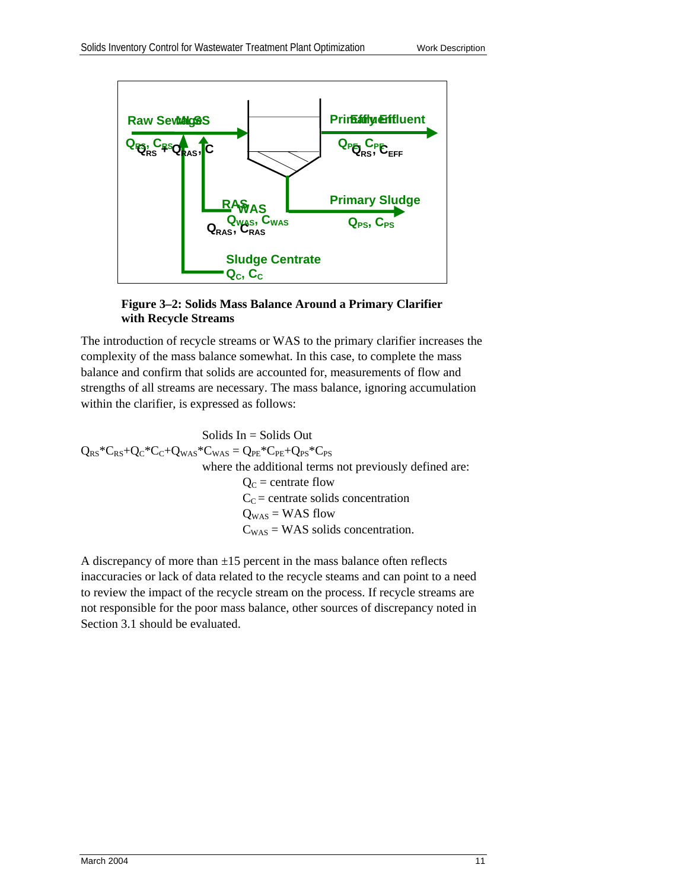

#### **Figure 3–2: Solids Mass Balance Around a Primary Clarifier with Recycle Streams**

The introduction of recycle streams or WAS to the primary clarifier increases the complexity of the mass balance somewhat. In this case, to complete the mass balance and confirm that solids are accounted for, measurements of flow and strengths of all streams are necessary. The mass balance, ignoring accumulation within the clarifier, is expressed as follows:

 $Q_{RS}$ \* $C_{RS}$ + $Q_C$ \* $C_C$ + $Q_{WAS}$ \* $C_{WAS}$  =  $Q_{PE}$ \* $C_{PE}$ + $Q_{PS}$ \* $C_{PS}$  where the additional terms not previously defined are:  $Q_{\rm C}$  = centrate flow  $C<sub>C</sub>$  = centrate solids concentration  $C_{WAS}$  = WAS solids concentration. Solids  $In = Solids$  Out  $Q_{WAS}$  = WAS flow

A discrepancy of more than  $\pm 15$  percent in the mass balance often reflects inaccuracies or lack of data related to the recycle steams and can point to a need to review the impact of the recycle stream on the process. If recycle streams are not responsible for the poor mass balance, other sources of discrepancy noted in Section 3.1 should be evaluated.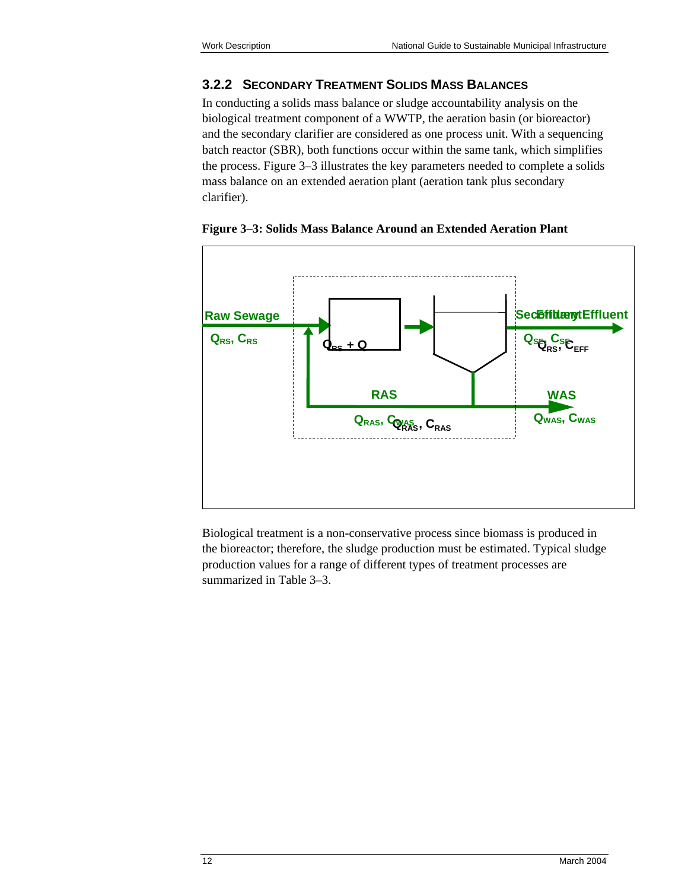#### **3.2.2 SECONDARY TREATMENT SOLIDS MASS BALANCES**

In conducting a solids mass balance or sludge accountability analysis on the biological treatment component of a WWTP, the aeration basin (or bioreactor) and the secondary clarifier are considered as one process unit. With a sequencing batch reactor (SBR), both functions occur within the same tank, which simplifies the process. Figure 3–3 illustrates the key parameters needed to complete a solids mass balance on an extended aeration plant (aeration tank plus secondary clarifier).



**Figure 3–3: Solids Mass Balance Around an Extended Aeration Plant** 

Biological treatment is a non-conservative process since biomass is produced in the bioreactor; therefore, the sludge production must be estimated. Typical sludge production values for a range of different types of treatment processes are summarized in Table 3–3.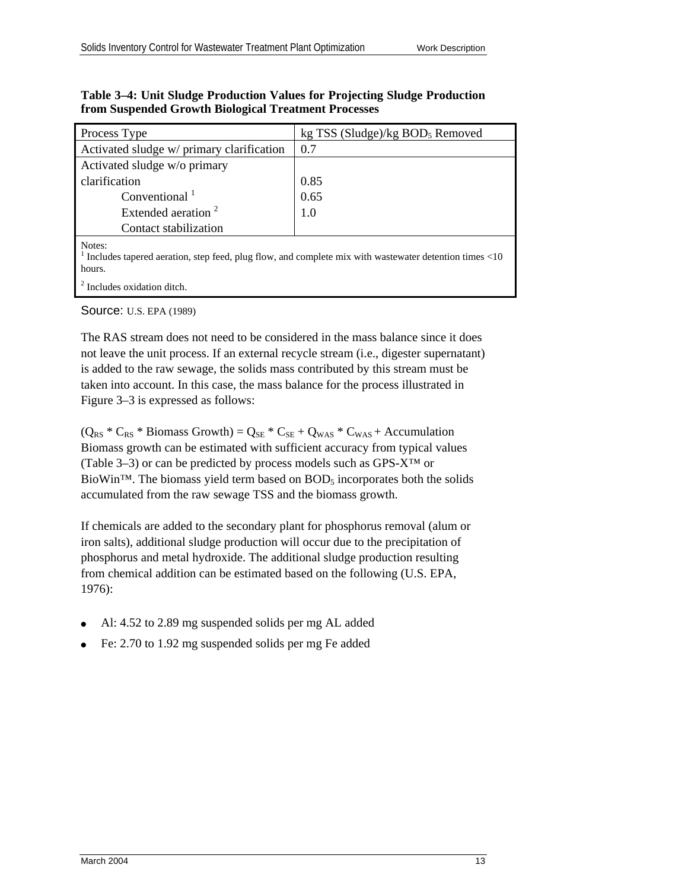| Process Type                                                                                                              | kg TSS (Sludge)/kg $BOD5$ Removed |  |
|---------------------------------------------------------------------------------------------------------------------------|-----------------------------------|--|
| Activated sludge w/ primary clarification                                                                                 | 0.7                               |  |
| Activated sludge w/o primary                                                                                              |                                   |  |
| clarification                                                                                                             | 0.85                              |  |
| Conventional $1$                                                                                                          | 0.65                              |  |
| Extended aeration <sup>2</sup>                                                                                            | 1.0                               |  |
| Contact stabilization                                                                                                     |                                   |  |
| Notes:<br>Includes tapered aeration, step feed, plug flow, and complete mix with wastewater detention times <10<br>hours. |                                   |  |

#### **Table 3–4: Unit Sludge Production Values for Projecting Sludge Production from Suspended Growth Biological Treatment Processes**

<sup>2</sup> Includes oxidation ditch. Source: U.S. EPA (1989)

The RAS stream does not need to be considered in the mass balance since it does not leave the unit process. If an external recycle stream (i.e., digester supernatant) is added to the raw sewage, the solids mass contributed by this stream must be taken into account. In this case, the mass balance for the process illustrated in Figure 3–3 is expressed as follows:

 $(Q_{RS} * C_{RS} * Biomass Growth) = Q_{SE} * C_{SE} + Q_{WAS} * C_{WAS} + Accumulation$ Biomass growth can be estimated with sufficient accuracy from typical values (Table 3–3) or can be predicted by process models such as GPS-X™ or BioWin<sup>™.</sup> The biomass yield term based on  $BOD<sub>5</sub>$  incorporates both the solids accumulated from the raw sewage TSS and the biomass growth.

If chemicals are added to the secondary plant for phosphorus removal (alum or iron salts), additional sludge production will occur due to the precipitation of phosphorus and metal hydroxide. The additional sludge production resulting from chemical addition can be estimated based on the following (U.S. EPA, 1976):

- ( Al: 4.52 to 2.89 mg suspended solids per mg AL added
- Fe: 2.70 to 1.92 mg suspended solids per mg Fe added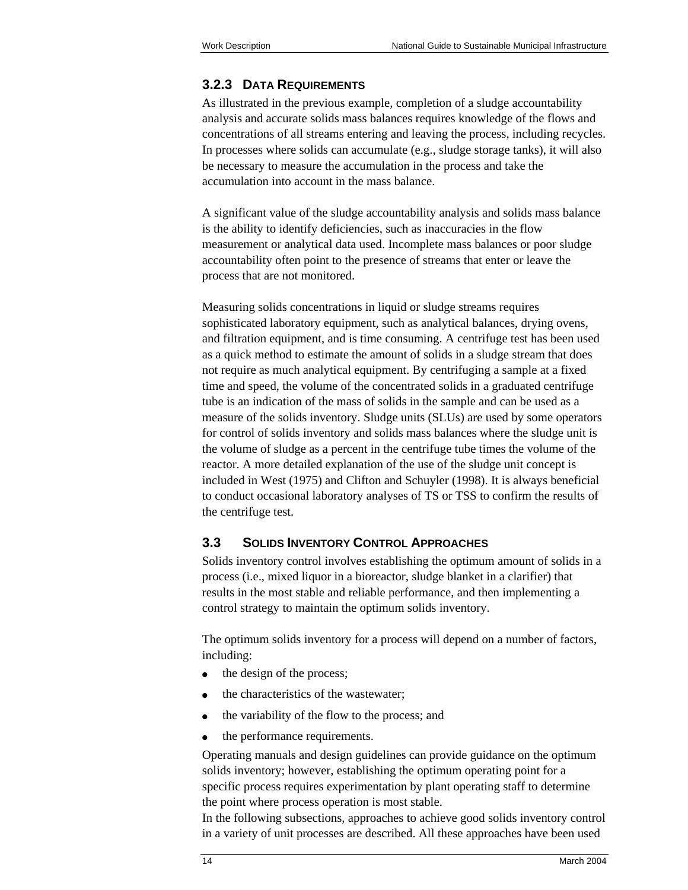### **3.2.3 DATA REQUIREMENTS**

As illustrated in the previous example, completion of a sludge accountability analysis and accurate solids mass balances requires knowledge of the flows and concentrations of all streams entering and leaving the process, including recycles. In processes where solids can accumulate (e.g., sludge storage tanks), it will also be necessary to measure the accumulation in the process and take the accumulation into account in the mass balance.

A significant value of the sludge accountability analysis and solids mass balance is the ability to identify deficiencies, such as inaccuracies in the flow measurement or analytical data used. Incomplete mass balances or poor sludge accountability often point to the presence of streams that enter or leave the process that are not monitored.

Measuring solids concentrations in liquid or sludge streams requires sophisticated laboratory equipment, such as analytical balances, drying ovens, and filtration equipment, and is time consuming. A centrifuge test has been used as a quick method to estimate the amount of solids in a sludge stream that does not require as much analytical equipment. By centrifuging a sample at a fixed time and speed, the volume of the concentrated solids in a graduated centrifuge tube is an indication of the mass of solids in the sample and can be used as a measure of the solids inventory. Sludge units (SLUs) are used by some operators for control of solids inventory and solids mass balances where the sludge unit is the volume of sludge as a percent in the centrifuge tube times the volume of the reactor. A more detailed explanation of the use of the sludge unit concept is included in West (1975) and Clifton and Schuyler (1998). It is always beneficial to conduct occasional laboratory analyses of TS or TSS to confirm the results of the centrifuge test.

### **3.3 SOLIDS INVENTORY CONTROL APPROACHES**

Solids inventory control involves establishing the optimum amount of solids in a process (i.e., mixed liquor in a bioreactor, sludge blanket in a clarifier) that results in the most stable and reliable performance, and then implementing a control strategy to maintain the optimum solids inventory.

The optimum solids inventory for a process will depend on a number of factors, including:

- $\bullet$  the design of the process;
- the characteristics of the wastewater:
- the variability of the flow to the process; and
- the performance requirements.

Operating manuals and design guidelines can provide guidance on the optimum solids inventory; however, establishing the optimum operating point for a specific process requires experimentation by plant operating staff to determine the point where process operation is most stable.

In the following subsections, approaches to achieve good solids inventory control in a variety of unit processes are described. All these approaches have been used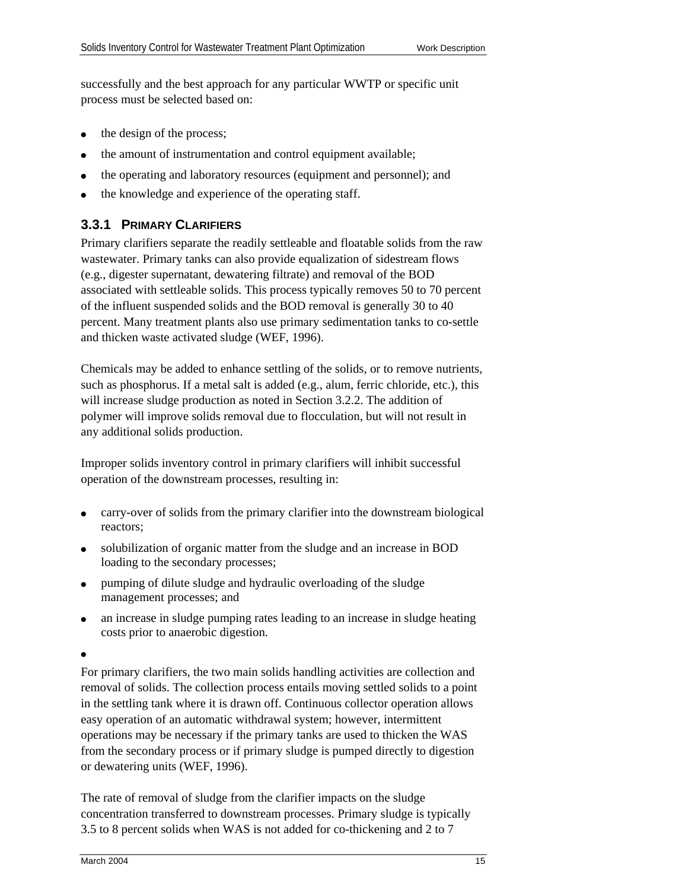successfully and the best approach for any particular WWTP or specific unit process must be selected based on:

- the design of the process;
- the amount of instrumentation and control equipment available;
- the operating and laboratory resources (equipment and personnel); and
- the knowledge and experience of the operating staff.

### **3.3.1 PRIMARY CLARIFIERS**

Primary clarifiers separate the readily settleable and floatable solids from the raw wastewater. Primary tanks can also provide equalization of sidestream flows (e.g., digester supernatant, dewatering filtrate) and removal of the BOD associated with settleable solids. This process typically removes 50 to 70 percent of the influent suspended solids and the BOD removal is generally 30 to 40 percent. Many treatment plants also use primary sedimentation tanks to co-settle and thicken waste activated sludge (WEF, 1996).

Chemicals may be added to enhance settling of the solids, or to remove nutrients, such as phosphorus. If a metal salt is added (e.g., alum, ferric chloride, etc.), this will increase sludge production as noted in Section 3.2.2. The addition of polymer will improve solids removal due to flocculation, but will not result in any additional solids production.

Improper solids inventory control in primary clarifiers will inhibit successful operation of the downstream processes, resulting in:

- ( carry-over of solids from the primary clarifier into the downstream biological reactors;
- solubilization of organic matter from the sludge and an increase in BOD loading to the secondary processes;
- ( pumping of dilute sludge and hydraulic overloading of the sludge management processes; and
- an increase in sludge pumping rates leading to an increase in sludge heating costs prior to anaerobic digestion.
- $\bullet$

For primary clarifiers, the two main solids handling activities are collection and removal of solids. The collection process entails moving settled solids to a point in the settling tank where it is drawn off. Continuous collector operation allows easy operation of an automatic withdrawal system; however, intermittent operations may be necessary if the primary tanks are used to thicken the WAS from the secondary process or if primary sludge is pumped directly to digestion or dewatering units (WEF, 1996).

The rate of removal of sludge from the clarifier impacts on the sludge concentration transferred to downstream processes. Primary sludge is typically 3.5 to 8 percent solids when WAS is not added for co-thickening and 2 to 7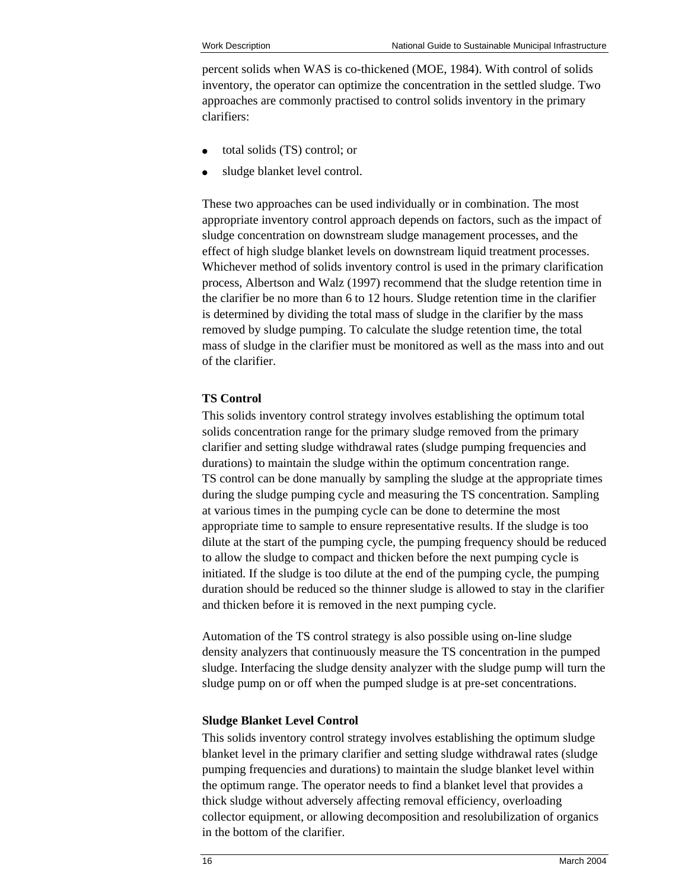percent solids when WAS is co-thickened (MOE, 1984). With control of solids inventory, the operator can optimize the concentration in the settled sludge. Two approaches are commonly practised to control solids inventory in the primary clarifiers:

- ( total solids (TS) control; or
- sludge blanket level control.

These two approaches can be used individually or in combination. The most appropriate inventory control approach depends on factors, such as the impact of sludge concentration on downstream sludge management processes, and the effect of high sludge blanket levels on downstream liquid treatment processes. Whichever method of solids inventory control is used in the primary clarification process, Albertson and Walz (1997) recommend that the sludge retention time in the clarifier be no more than 6 to 12 hours. Sludge retention time in the clarifier is determined by dividing the total mass of sludge in the clarifier by the mass removed by sludge pumping. To calculate the sludge retention time, the total mass of sludge in the clarifier must be monitored as well as the mass into and out of the clarifier.

#### **TS Control**

This solids inventory control strategy involves establishing the optimum total solids concentration range for the primary sludge removed from the primary clarifier and setting sludge withdrawal rates (sludge pumping frequencies and durations) to maintain the sludge within the optimum concentration range. TS control can be done manually by sampling the sludge at the appropriate times during the sludge pumping cycle and measuring the TS concentration. Sampling at various times in the pumping cycle can be done to determine the most appropriate time to sample to ensure representative results. If the sludge is too dilute at the start of the pumping cycle, the pumping frequency should be reduced to allow the sludge to compact and thicken before the next pumping cycle is initiated. If the sludge is too dilute at the end of the pumping cycle, the pumping duration should be reduced so the thinner sludge is allowed to stay in the clarifier and thicken before it is removed in the next pumping cycle.

Automation of the TS control strategy is also possible using on-line sludge density analyzers that continuously measure the TS concentration in the pumped sludge. Interfacing the sludge density analyzer with the sludge pump will turn the sludge pump on or off when the pumped sludge is at pre-set concentrations.

#### **Sludge Blanket Level Control**

This solids inventory control strategy involves establishing the optimum sludge blanket level in the primary clarifier and setting sludge withdrawal rates (sludge pumping frequencies and durations) to maintain the sludge blanket level within the optimum range. The operator needs to find a blanket level that provides a thick sludge without adversely affecting removal efficiency, overloading collector equipment, or allowing decomposition and resolubilization of organics in the bottom of the clarifier.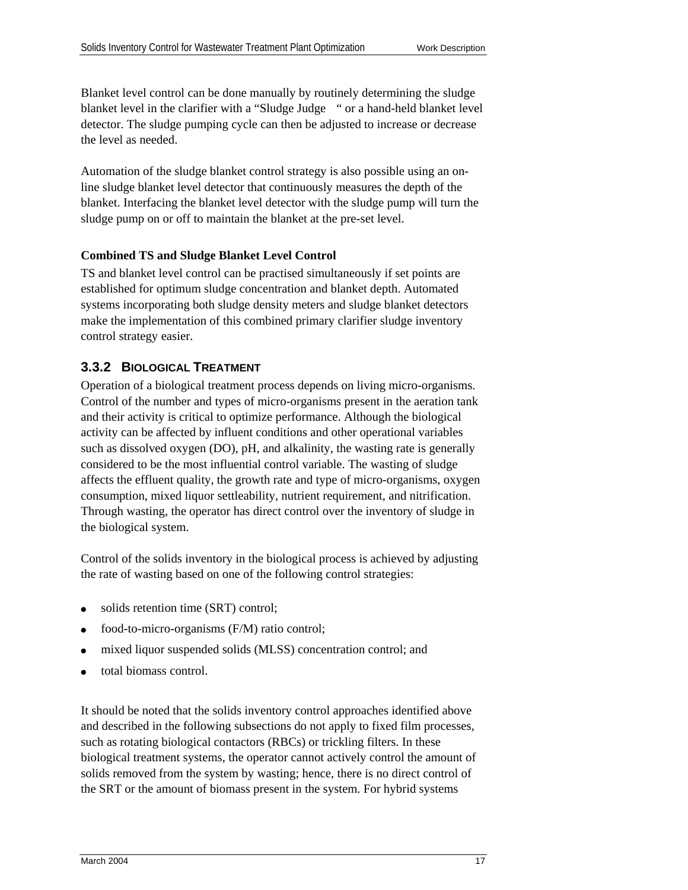Blanket level control can be done manually by routinely determining the sludge blanket level in the clarifier with a "Sludge Judge " or a hand-held blanket level detector. The sludge pumping cycle can then be adjusted to increase or decrease the level as needed.

Automation of the sludge blanket control strategy is also possible using an online sludge blanket level detector that continuously measures the depth of the blanket. Interfacing the blanket level detector with the sludge pump will turn the sludge pump on or off to maintain the blanket at the pre-set level.

### **Combined TS and Sludge Blanket Level Control**

TS and blanket level control can be practised simultaneously if set points are established for optimum sludge concentration and blanket depth. Automated systems incorporating both sludge density meters and sludge blanket detectors make the implementation of this combined primary clarifier sludge inventory control strategy easier.

### **3.3.2 BIOLOGICAL TREATMENT**

Operation of a biological treatment process depends on living micro-organisms. Control of the number and types of micro-organisms present in the aeration tank and their activity is critical to optimize performance. Although the biological activity can be affected by influent conditions and other operational variables such as dissolved oxygen (DO), pH, and alkalinity, the wasting rate is generally considered to be the most influential control variable. The wasting of sludge affects the effluent quality, the growth rate and type of micro-organisms, oxygen consumption, mixed liquor settleability, nutrient requirement, and nitrification. Through wasting, the operator has direct control over the inventory of sludge in the biological system.

Control of the solids inventory in the biological process is achieved by adjusting the rate of wasting based on one of the following control strategies:

- solids retention time (SRT) control;
- food-to-micro-organisms (F/M) ratio control;
- mixed liquor suspended solids (MLSS) concentration control; and
- total biomass control.

It should be noted that the solids inventory control approaches identified above and described in the following subsections do not apply to fixed film processes, such as rotating biological contactors (RBCs) or trickling filters. In these biological treatment systems, the operator cannot actively control the amount of solids removed from the system by wasting; hence, there is no direct control of the SRT or the amount of biomass present in the system. For hybrid systems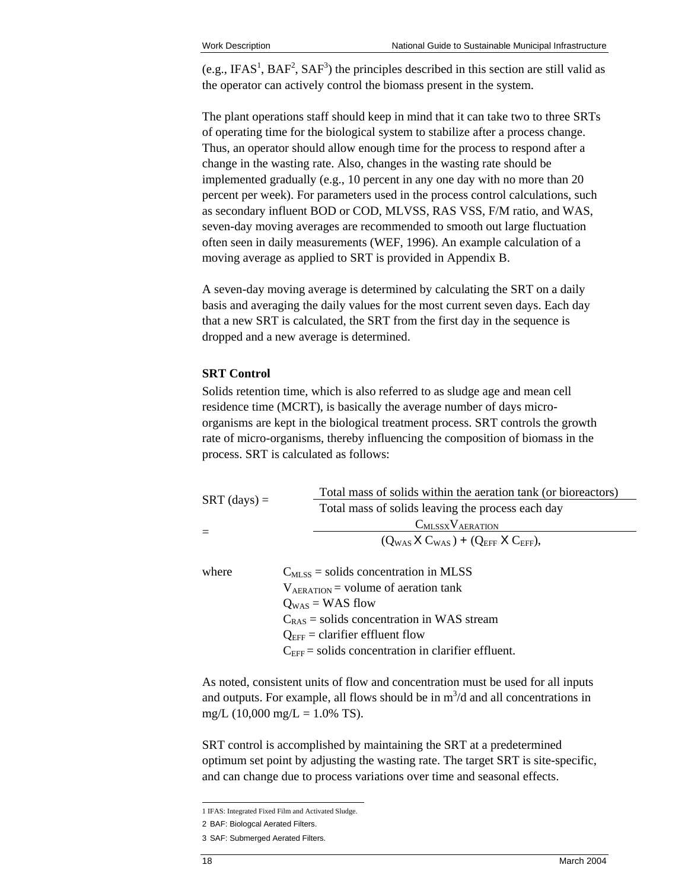(e.g.[,](#page-27-0) IFAS<sup>1</sup>, BAF<sup>[2](#page-27-1)</sup>, SAF<sup>3</sup>[\)](#page-27-2) the principles described in this section are still valid as the operator can actively control the biomass present in the system.

The plant operations staff should keep in mind that it can take two to three SRTs of operating time for the biological system to stabilize after a process change. Thus, an operator should allow enough time for the process to respond after a change in the wasting rate. Also, changes in the wasting rate should be implemented gradually (e.g., 10 percent in any one day with no more than 20 percent per week). For parameters used in the process control calculations, such as secondary influent BOD or COD, MLVSS, RAS VSS, F/M ratio, and WAS, seven-day moving averages are recommended to smooth out large fluctuation often seen in daily measurements (WEF, 1996). An example calculation of a moving average as applied to SRT is provided in Appendix B.

A seven-day moving average is determined by calculating the SRT on a daily basis and averaging the daily values for the most current seven days. Each day that a new SRT is calculated, the SRT from the first day in the sequence is dropped and a new average is determined.

#### **SRT Control**

Solids retention time, which is also referred to as sludge age and mean cell residence time (MCRT), is basically the average number of days microorganisms are kept in the biological treatment process. SRT controls the growth rate of micro-organisms, thereby influencing the composition of biomass in the process. SRT is calculated as follows:

|                | Total mass of solids within the aeration tank (or bioreactors) |  |  |
|----------------|----------------------------------------------------------------|--|--|
| $SRT$ (days) = | Total mass of solids leaving the process each day              |  |  |
|                | $C_{MLSSX}V_{AERATION}$                                        |  |  |
| $=$            | $(Q_{WAS} X C_{WAS}) + (Q_{EFF} X C_{EFF})$                    |  |  |
| where          | $C_{MLSS}$ = solids concentration in MLSS                      |  |  |
|                | $V_{AERATION}$ = volume of aeration tank                       |  |  |
|                | $Q_{WAS}$ = WAS flow                                           |  |  |
|                | $C_{RAS}$ = solids concentration in WAS stream                 |  |  |
|                | $Q_{\text{EFF}}$ = clarifier effluent flow                     |  |  |
|                | $C_{\text{EFF}}$ = solids concentration in clarifier effluent. |  |  |

As noted, consistent units of flow and concentration must be used for all inputs and outputs. For example, all flows should be in  $m^3/d$  and all concentrations in mg/L (10,000 mg/L =  $1.0\%$  TS).

SRT control is accomplished by maintaining the SRT at a predetermined optimum set point by adjusting the wasting rate. The target SRT is site-specific, and can change due to process variations over time and seasonal effects.

 1 IFAS: Integrated Fixed Film and Activated Sludge.

<span id="page-27-2"></span><span id="page-27-1"></span><span id="page-27-0"></span><sup>2</sup> BAF: Biologcal Aerated Filters.

<sup>3</sup> SAF: Submerged Aerated Filters.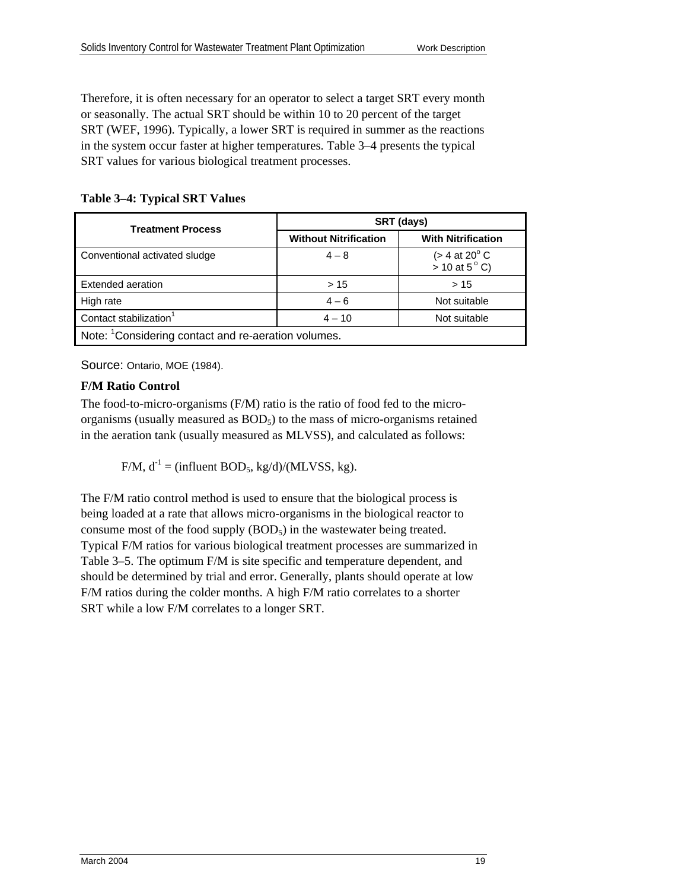Therefore, it is often necessary for an operator to select a target SRT every month or seasonally. The actual SRT should be within 10 to 20 percent of the target SRT (WEF, 1996). Typically, a lower SRT is required in summer as the reactions in the system occur faster at higher temperatures. Table 3–4 presents the typical SRT values for various biological treatment processes.

**Table 3–4: Typical SRT Values** 

| <b>Treatment Process</b>                                        | SRT (days)                   |                                                        |  |  |
|-----------------------------------------------------------------|------------------------------|--------------------------------------------------------|--|--|
|                                                                 | <b>Without Nitrification</b> | <b>With Nitrification</b>                              |  |  |
| Conventional activated sludge                                   | $4 - 8$                      | $(> 4$ at 20 $^{\circ}$ C<br>$> 10$ at 5 $^{\circ}$ C) |  |  |
| Extended aeration                                               | >15                          | >15                                                    |  |  |
| High rate                                                       | $4 - 6$                      | Not suitable                                           |  |  |
| Contact stabilization <sup>1</sup>                              | $4 - 10$                     | Not suitable                                           |  |  |
| Note: <sup>1</sup> Considering contact and re-aeration volumes. |                              |                                                        |  |  |

Source: Ontario, MOE (1984).

#### **F/M Ratio Control**

The food-to-micro-organisms (F/M) ratio is the ratio of food fed to the microorganisms (usually measured as BOD<sub>5</sub>) to the mass of micro-organisms retained in the aeration tank (usually measured as MLVSS), and calculated as follows:

 $F/M$ ,  $d^{-1} = (influent BOD<sub>5</sub>, kg/d)/(MLVSS, kg)$ .

The F/M ratio control method is used to ensure that the biological process is being loaded at a rate that allows micro-organisms in the biological reactor to consume most of the food supply  $(BOD<sub>5</sub>)$  in the wastewater being treated. Typical F/M ratios for various biological treatment processes are summarized in Table 3–5. The optimum F/M is site specific and temperature dependent, and should be determined by trial and error. Generally, plants should operate at low F/M ratios during the colder months. A high F/M ratio correlates to a shorter SRT while a low F/M correlates to a longer SRT.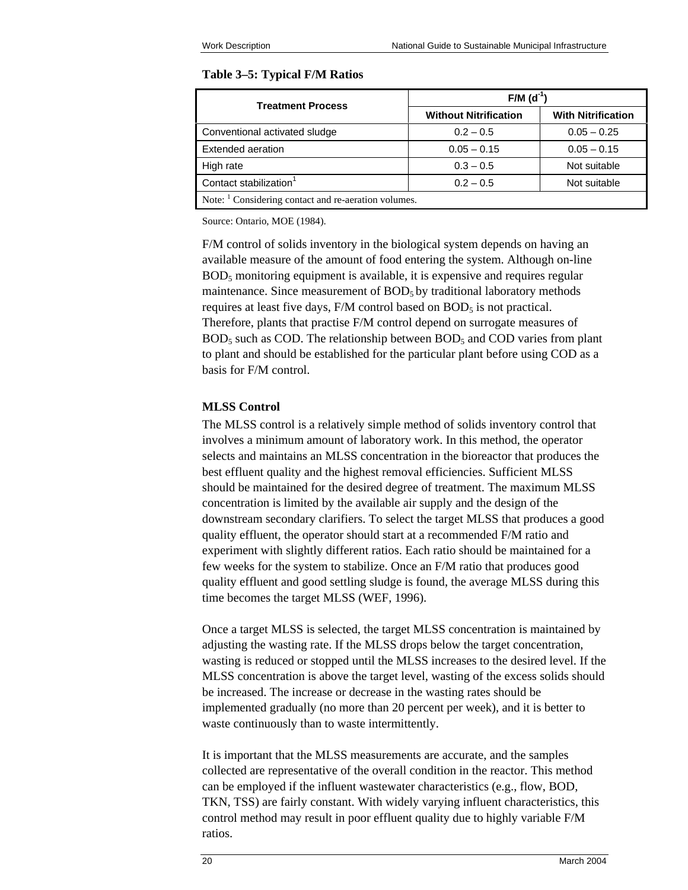#### **Table 3–5: Typical F/M Ratios**

| <b>Treatment Process</b>                                        | $F/M$ (d <sup>-1</sup> )     |                           |  |
|-----------------------------------------------------------------|------------------------------|---------------------------|--|
|                                                                 | <b>Without Nitrification</b> | <b>With Nitrification</b> |  |
| Conventional activated sludge                                   | $0.2 - 0.5$                  | $0.05 - 0.25$             |  |
| Extended aeration                                               | $0.05 - 0.15$                | $0.05 - 0.15$             |  |
| High rate                                                       | $0.3 - 0.5$                  | Not suitable              |  |
| Contact stabilization <sup>1</sup>                              | $0.2 - 0.5$                  | Not suitable              |  |
| Note: <sup>1</sup> Considering contact and re-aeration volumes. |                              |                           |  |

Source: Ontario, MOE (1984).

F/M control of solids inventory in the biological system depends on having an available measure of the amount of food entering the system. Although on-line BOD5 monitoring equipment is available, it is expensive and requires regular maintenance. Since measurement of  $BOD<sub>5</sub>$  by traditional laboratory methods requires at least five days,  $F/M$  control based on  $BOD<sub>5</sub>$  is not practical. Therefore, plants that practise F/M control depend on surrogate measures of  $BOD<sub>5</sub>$  such as COD. The relationship between  $BOD<sub>5</sub>$  and COD varies from plant to plant and should be established for the particular plant before using COD as a basis for F/M control.

#### **MLSS Control**

The MLSS control is a relatively simple method of solids inventory control that involves a minimum amount of laboratory work. In this method, the operator selects and maintains an MLSS concentration in the bioreactor that produces the best effluent quality and the highest removal efficiencies. Sufficient MLSS should be maintained for the desired degree of treatment. The maximum MLSS concentration is limited by the available air supply and the design of the downstream secondary clarifiers. To select the target MLSS that produces a good quality effluent, the operator should start at a recommended F/M ratio and experiment with slightly different ratios. Each ratio should be maintained for a few weeks for the system to stabilize. Once an F/M ratio that produces good quality effluent and good settling sludge is found, the average MLSS during this time becomes the target MLSS (WEF, 1996).

Once a target MLSS is selected, the target MLSS concentration is maintained by adjusting the wasting rate. If the MLSS drops below the target concentration, wasting is reduced or stopped until the MLSS increases to the desired level. If the MLSS concentration is above the target level, wasting of the excess solids should be increased. The increase or decrease in the wasting rates should be implemented gradually (no more than 20 percent per week), and it is better to waste continuously than to waste intermittently.

It is important that the MLSS measurements are accurate, and the samples collected are representative of the overall condition in the reactor. This method can be employed if the influent wastewater characteristics (e.g., flow, BOD, TKN, TSS) are fairly constant. With widely varying influent characteristics, this control method may result in poor effluent quality due to highly variable F/M ratios.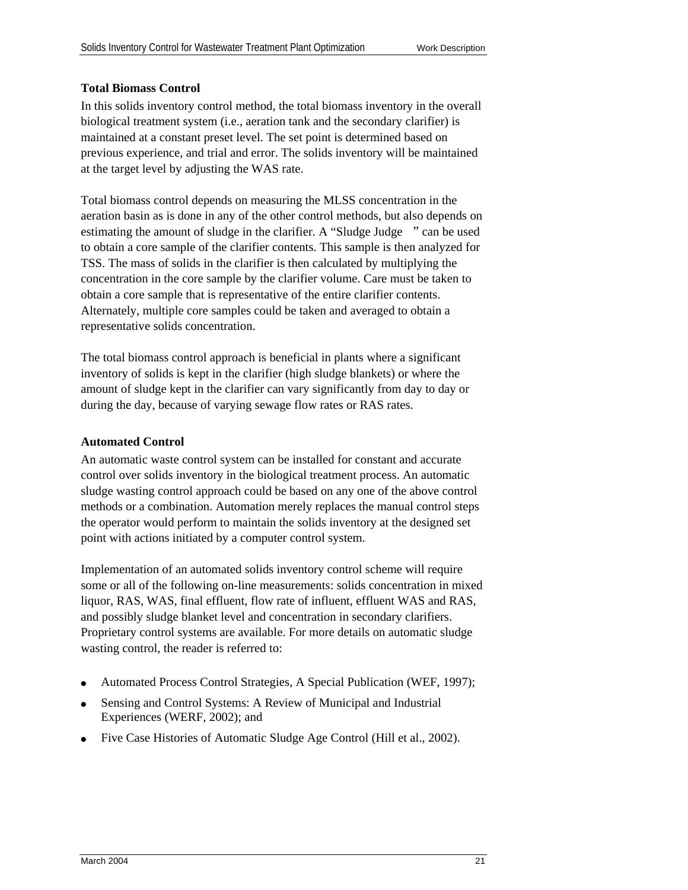#### **Total Biomass Control**

In this solids inventory control method, the total biomass inventory in the overall biological treatment system (i.e., aeration tank and the secondary clarifier) is maintained at a constant preset level. The set point is determined based on previous experience, and trial and error. The solids inventory will be maintained at the target level by adjusting the WAS rate.

Total biomass control depends on measuring the MLSS concentration in the aeration basin as is done in any of the other control methods, but also depends on estimating the amount of sludge in the clarifier. A "Sludge Judge " can be used to obtain a core sample of the clarifier contents. This sample is then analyzed for TSS. The mass of solids in the clarifier is then calculated by multiplying the concentration in the core sample by the clarifier volume. Care must be taken to obtain a core sample that is representative of the entire clarifier contents. Alternately, multiple core samples could be taken and averaged to obtain a representative solids concentration.

The total biomass control approach is beneficial in plants where a significant inventory of solids is kept in the clarifier (high sludge blankets) or where the amount of sludge kept in the clarifier can vary significantly from day to day or during the day, because of varying sewage flow rates or RAS rates.

#### **Automated Control**

An automatic waste control system can be installed for constant and accurate control over solids inventory in the biological treatment process. An automatic sludge wasting control approach could be based on any one of the above control methods or a combination. Automation merely replaces the manual control steps the operator would perform to maintain the solids inventory at the designed set point with actions initiated by a computer control system.

Implementation of an automated solids inventory control scheme will require some or all of the following on-line measurements: solids concentration in mixed liquor, RAS, WAS, final effluent, flow rate of influent, effluent WAS and RAS, and possibly sludge blanket level and concentration in secondary clarifiers. Proprietary control systems are available. For more details on automatic sludge wasting control, the reader is referred to:

- ( Automated Process Control Strategies, A Special Publication (WEF, 1997);
- Sensing and Control Systems: A Review of Municipal and Industrial Experiences (WERF, 2002); and
- ( Five Case Histories of Automatic Sludge Age Control (Hill et al., 2002).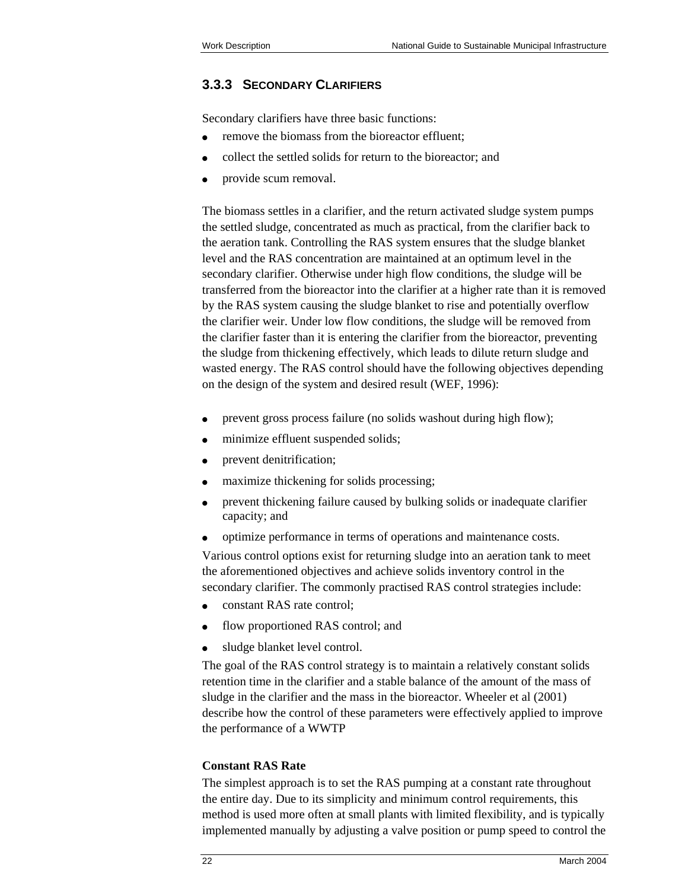### **3.3.3 SECONDARY CLARIFIERS**

Secondary clarifiers have three basic functions:

- remove the biomass from the bioreactor effluent;
- ( collect the settled solids for return to the bioreactor; and
- provide scum removal.

The biomass settles in a clarifier, and the return activated sludge system pumps the settled sludge, concentrated as much as practical, from the clarifier back to the aeration tank. Controlling the RAS system ensures that the sludge blanket level and the RAS concentration are maintained at an optimum level in the secondary clarifier. Otherwise under high flow conditions, the sludge will be transferred from the bioreactor into the clarifier at a higher rate than it is removed by the RAS system causing the sludge blanket to rise and potentially overflow the clarifier weir. Under low flow conditions, the sludge will be removed from the clarifier faster than it is entering the clarifier from the bioreactor, preventing the sludge from thickening effectively, which leads to dilute return sludge and wasted energy. The RAS control should have the following objectives depending on the design of the system and desired result (WEF, 1996):

- prevent gross process failure (no solids washout during high flow);
- minimize effluent suspended solids;
- prevent denitrification;
- maximize thickening for solids processing;
- prevent thickening failure caused by bulking solids or inadequate clarifier capacity; and
- ( optimize performance in terms of operations and maintenance costs.

Various control options exist for returning sludge into an aeration tank to meet the aforementioned objectives and achieve solids inventory control in the secondary clarifier. The commonly practised RAS control strategies include:

- constant RAS rate control;
- flow proportioned RAS control; and
- sludge blanket level control.

The goal of the RAS control strategy is to maintain a relatively constant solids retention time in the clarifier and a stable balance of the amount of the mass of sludge in the clarifier and the mass in the bioreactor. Wheeler et al (2001) describe how the control of these parameters were effectively applied to improve the performance of a WWTP

#### **Constant RAS Rate**

The simplest approach is to set the RAS pumping at a constant rate throughout the entire day. Due to its simplicity and minimum control requirements, this method is used more often at small plants with limited flexibility, and is typically implemented manually by adjusting a valve position or pump speed to control the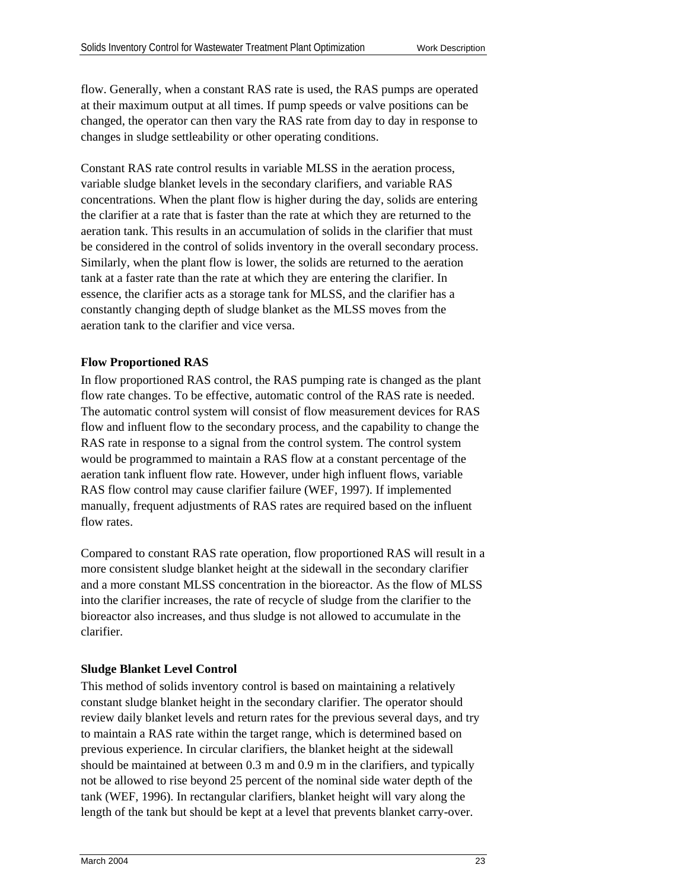flow. Generally, when a constant RAS rate is used, the RAS pumps are operated at their maximum output at all times. If pump speeds or valve positions can be changed, the operator can then vary the RAS rate from day to day in response to changes in sludge settleability or other operating conditions.

Constant RAS rate control results in variable MLSS in the aeration process, variable sludge blanket levels in the secondary clarifiers, and variable RAS concentrations. When the plant flow is higher during the day, solids are entering the clarifier at a rate that is faster than the rate at which they are returned to the aeration tank. This results in an accumulation of solids in the clarifier that must be considered in the control of solids inventory in the overall secondary process. Similarly, when the plant flow is lower, the solids are returned to the aeration tank at a faster rate than the rate at which they are entering the clarifier. In essence, the clarifier acts as a storage tank for MLSS, and the clarifier has a constantly changing depth of sludge blanket as the MLSS moves from the aeration tank to the clarifier and vice versa.

#### **Flow Proportioned RAS**

In flow proportioned RAS control, the RAS pumping rate is changed as the plant flow rate changes. To be effective, automatic control of the RAS rate is needed. The automatic control system will consist of flow measurement devices for RAS flow and influent flow to the secondary process, and the capability to change the RAS rate in response to a signal from the control system. The control system would be programmed to maintain a RAS flow at a constant percentage of the aeration tank influent flow rate. However, under high influent flows, variable RAS flow control may cause clarifier failure (WEF, 1997). If implemented manually, frequent adjustments of RAS rates are required based on the influent flow rates.

Compared to constant RAS rate operation, flow proportioned RAS will result in a more consistent sludge blanket height at the sidewall in the secondary clarifier and a more constant MLSS concentration in the bioreactor. As the flow of MLSS into the clarifier increases, the rate of recycle of sludge from the clarifier to the bioreactor also increases, and thus sludge is not allowed to accumulate in the clarifier.

#### **Sludge Blanket Level Control**

This method of solids inventory control is based on maintaining a relatively constant sludge blanket height in the secondary clarifier. The operator should review daily blanket levels and return rates for the previous several days, and try to maintain a RAS rate within the target range, which is determined based on previous experience. In circular clarifiers, the blanket height at the sidewall should be maintained at between 0.3 m and 0.9 m in the clarifiers, and typically not be allowed to rise beyond 25 percent of the nominal side water depth of the tank (WEF, 1996). In rectangular clarifiers, blanket height will vary along the length of the tank but should be kept at a level that prevents blanket carry-over.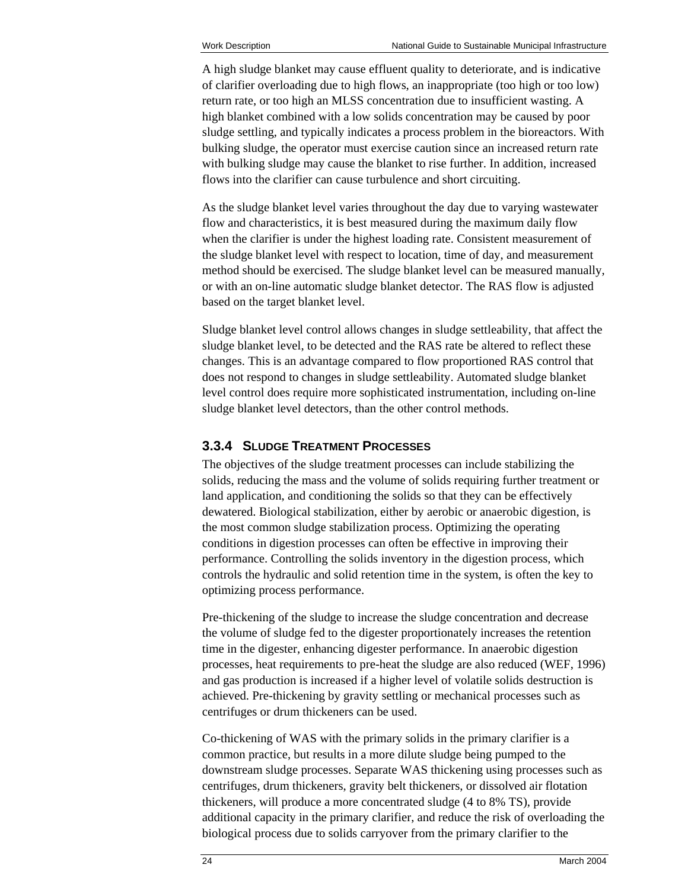A high sludge blanket may cause effluent quality to deteriorate, and is indicative of clarifier overloading due to high flows, an inappropriate (too high or too low) return rate, or too high an MLSS concentration due to insufficient wasting. A high blanket combined with a low solids concentration may be caused by poor sludge settling, and typically indicates a process problem in the bioreactors. With bulking sludge, the operator must exercise caution since an increased return rate with bulking sludge may cause the blanket to rise further. In addition, increased flows into the clarifier can cause turbulence and short circuiting.

As the sludge blanket level varies throughout the day due to varying wastewater flow and characteristics, it is best measured during the maximum daily flow when the clarifier is under the highest loading rate. Consistent measurement of the sludge blanket level with respect to location, time of day, and measurement method should be exercised. The sludge blanket level can be measured manually, or with an on-line automatic sludge blanket detector. The RAS flow is adjusted based on the target blanket level.

Sludge blanket level control allows changes in sludge settleability, that affect the sludge blanket level, to be detected and the RAS rate be altered to reflect these changes. This is an advantage compared to flow proportioned RAS control that does not respond to changes in sludge settleability. Automated sludge blanket level control does require more sophisticated instrumentation, including on-line sludge blanket level detectors, than the other control methods.

### **3.3.4 SLUDGE TREATMENT PROCESSES**

The objectives of the sludge treatment processes can include stabilizing the solids, reducing the mass and the volume of solids requiring further treatment or land application, and conditioning the solids so that they can be effectively dewatered. Biological stabilization, either by aerobic or anaerobic digestion, is the most common sludge stabilization process. Optimizing the operating conditions in digestion processes can often be effective in improving their performance. Controlling the solids inventory in the digestion process, which controls the hydraulic and solid retention time in the system, is often the key to optimizing process performance.

Pre-thickening of the sludge to increase the sludge concentration and decrease the volume of sludge fed to the digester proportionately increases the retention time in the digester, enhancing digester performance. In anaerobic digestion processes, heat requirements to pre-heat the sludge are also reduced (WEF, 1996) and gas production is increased if a higher level of volatile solids destruction is achieved. Pre-thickening by gravity settling or mechanical processes such as centrifuges or drum thickeners can be used.

Co-thickening of WAS with the primary solids in the primary clarifier is a common practice, but results in a more dilute sludge being pumped to the downstream sludge processes. Separate WAS thickening using processes such as centrifuges, drum thickeners, gravity belt thickeners, or dissolved air flotation thickeners, will produce a more concentrated sludge (4 to 8% TS), provide additional capacity in the primary clarifier, and reduce the risk of overloading the biological process due to solids carryover from the primary clarifier to the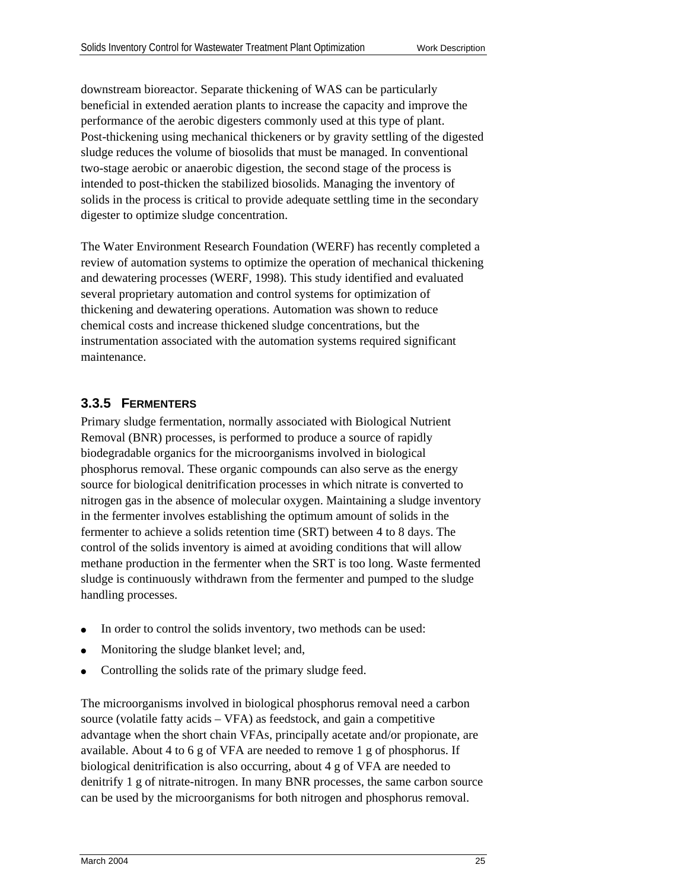downstream bioreactor. Separate thickening of WAS can be particularly beneficial in extended aeration plants to increase the capacity and improve the performance of the aerobic digesters commonly used at this type of plant. Post-thickening using mechanical thickeners or by gravity settling of the digested sludge reduces the volume of biosolids that must be managed. In conventional two-stage aerobic or anaerobic digestion, the second stage of the process is intended to post-thicken the stabilized biosolids. Managing the inventory of solids in the process is critical to provide adequate settling time in the secondary digester to optimize sludge concentration.

The Water Environment Research Foundation (WERF) has recently completed a review of automation systems to optimize the operation of mechanical thickening and dewatering processes (WERF, 1998). This study identified and evaluated several proprietary automation and control systems for optimization of thickening and dewatering operations. Automation was shown to reduce chemical costs and increase thickened sludge concentrations, but the instrumentation associated with the automation systems required significant maintenance.

### **3.3.5 FERMENTERS**

Primary sludge fermentation, normally associated with Biological Nutrient Removal (BNR) processes, is performed to produce a source of rapidly biodegradable organics for the microorganisms involved in biological phosphorus removal. These organic compounds can also serve as the energy source for biological denitrification processes in which nitrate is converted to nitrogen gas in the absence of molecular oxygen. Maintaining a sludge inventory in the fermenter involves establishing the optimum amount of solids in the fermenter to achieve a solids retention time (SRT) between 4 to 8 days. The control of the solids inventory is aimed at avoiding conditions that will allow methane production in the fermenter when the SRT is too long. Waste fermented sludge is continuously withdrawn from the fermenter and pumped to the sludge handling processes.

- In order to control the solids inventory, two methods can be used:
- Monitoring the sludge blanket level; and,
- Controlling the solids rate of the primary sludge feed.

The microorganisms involved in biological phosphorus removal need a carbon source (volatile fatty acids – VFA) as feedstock, and gain a competitive advantage when the short chain VFAs, principally acetate and/or propionate, are available. About 4 to 6 g of VFA are needed to remove 1 g of phosphorus. If biological denitrification is also occurring, about 4 g of VFA are needed to denitrify 1 g of nitrate-nitrogen. In many BNR processes, the same carbon source can be used by the microorganisms for both nitrogen and phosphorus removal.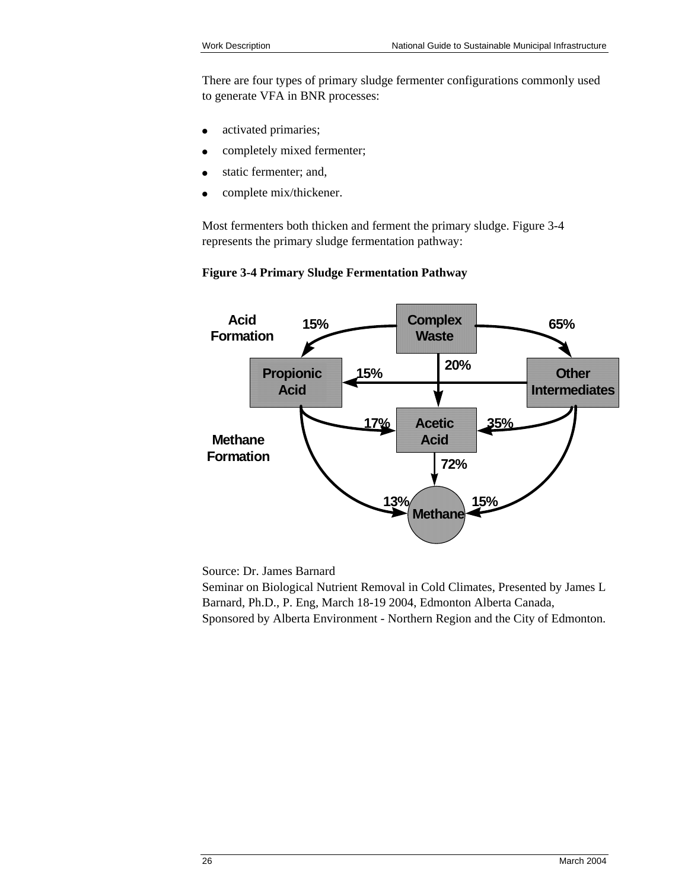There are four types of primary sludge fermenter configurations commonly used to generate VFA in BNR processes:

- activated primaries;
- completely mixed fermenter;
- static fermenter; and,
- complete mix/thickener.

Most fermenters both thicken and ferment the primary sludge. Figure 3-4 represents the primary sludge fermentation pathway:



#### **Figure 3-4 Primary Sludge Fermentation Pathway**

Source: Dr. James Barnard

Seminar on Biological Nutrient Removal in Cold Climates, Presented by James L Barnard, Ph.D., P. Eng, March 18-19 2004, Edmonton Alberta Canada, Sponsored by Alberta Environment - Northern Region and the City of Edmonton.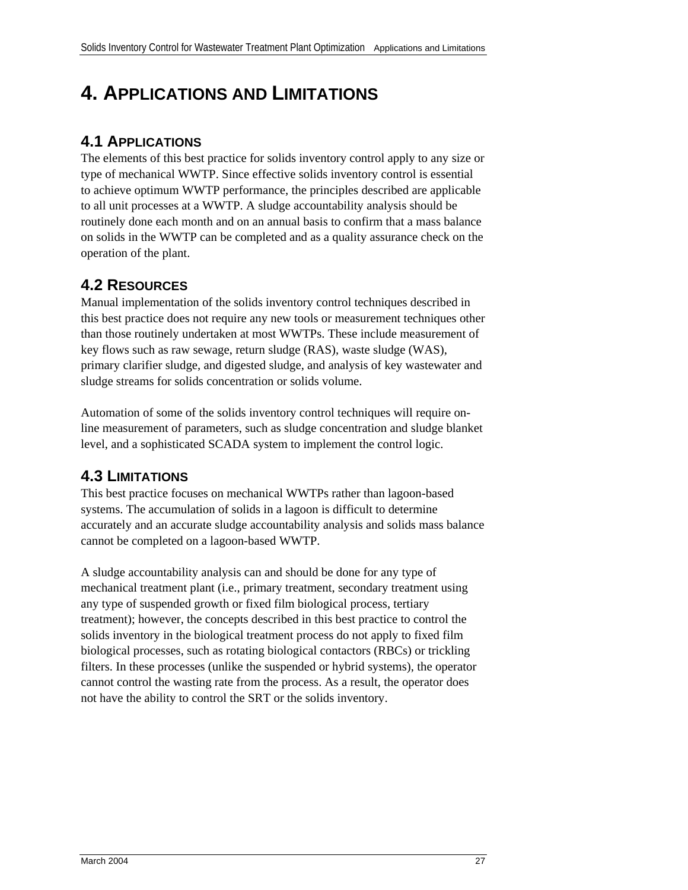# **4. APPLICATIONS AND LIMITATIONS**

## **4.1 APPLICATIONS**

The elements of this best practice for solids inventory control apply to any size or type of mechanical WWTP. Since effective solids inventory control is essential to achieve optimum WWTP performance, the principles described are applicable to all unit processes at a WWTP. A sludge accountability analysis should be routinely done each month and on an annual basis to confirm that a mass balance on solids in the WWTP can be completed and as a quality assurance check on the operation of the plant.

## **4.2 RESOURCES**

Manual implementation of the solids inventory control techniques described in this best practice does not require any new tools or measurement techniques other than those routinely undertaken at most WWTPs. These include measurement of key flows such as raw sewage, return sludge (RAS), waste sludge (WAS), primary clarifier sludge, and digested sludge, and analysis of key wastewater and sludge streams for solids concentration or solids volume.

Automation of some of the solids inventory control techniques will require online measurement of parameters, such as sludge concentration and sludge blanket level, and a sophisticated SCADA system to implement the control logic.

## **4.3 LIMITATIONS**

This best practice focuses on mechanical WWTPs rather than lagoon-based systems. The accumulation of solids in a lagoon is difficult to determine accurately and an accurate sludge accountability analysis and solids mass balance cannot be completed on a lagoon-based WWTP.

A sludge accountability analysis can and should be done for any type of mechanical treatment plant (i.e., primary treatment, secondary treatment using any type of suspended growth or fixed film biological process, tertiary treatment); however, the concepts described in this best practice to control the solids inventory in the biological treatment process do not apply to fixed film biological processes, such as rotating biological contactors (RBCs) or trickling filters. In these processes (unlike the suspended or hybrid systems), the operator cannot control the wasting rate from the process. As a result, the operator does not have the ability to control the SRT or the solids inventory.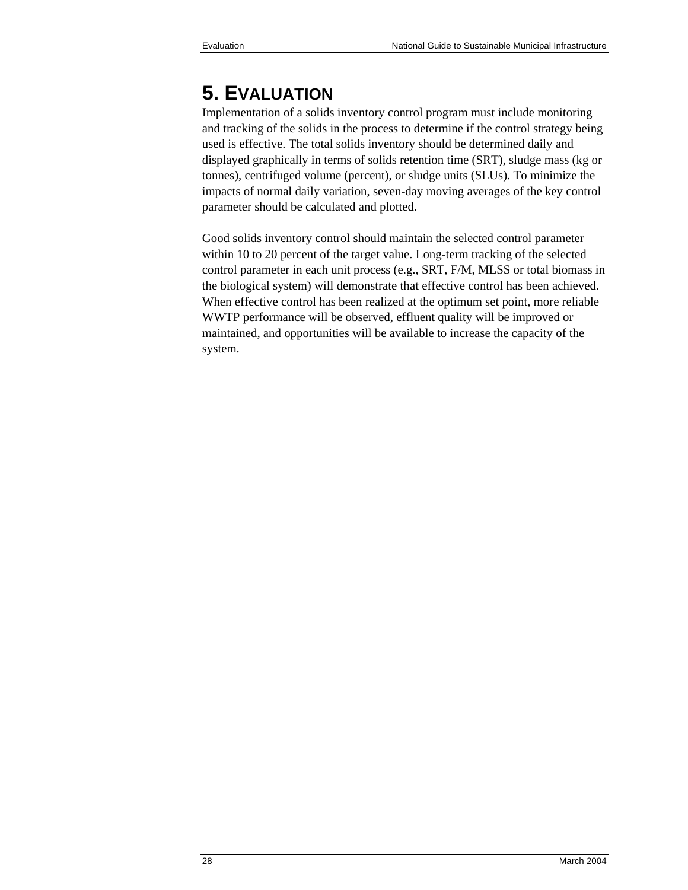# **5. EVALUATION**

Implementation of a solids inventory control program must include monitoring and tracking of the solids in the process to determine if the control strategy being used is effective. The total solids inventory should be determined daily and displayed graphically in terms of solids retention time (SRT), sludge mass (kg or tonnes), centrifuged volume (percent), or sludge units (SLUs). To minimize the impacts of normal daily variation, seven-day moving averages of the key control parameter should be calculated and plotted.

Good solids inventory control should maintain the selected control parameter within 10 to 20 percent of the target value. Long-term tracking of the selected control parameter in each unit process (e.g., SRT, F/M, MLSS or total biomass in the biological system) will demonstrate that effective control has been achieved. When effective control has been realized at the optimum set point, more reliable WWTP performance will be observed, effluent quality will be improved or maintained, and opportunities will be available to increase the capacity of the system.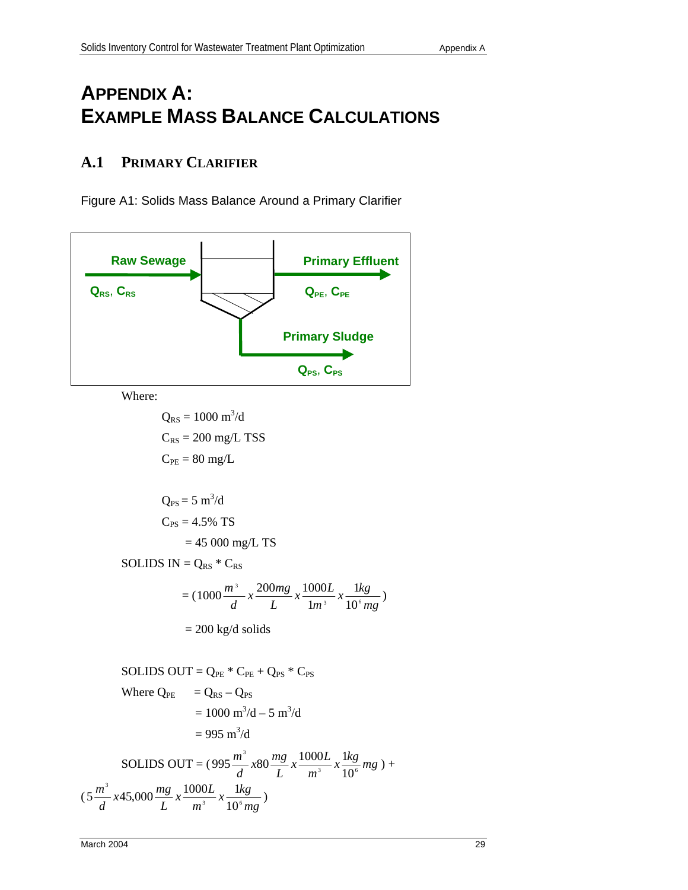# **APPENDIX A: EXAMPLE MASS BALANCE CALCULATIONS**

## **A.1 PRIMARY CLARIFIER**

Figure A1: Solids Mass Balance Around a Primary Clarifier

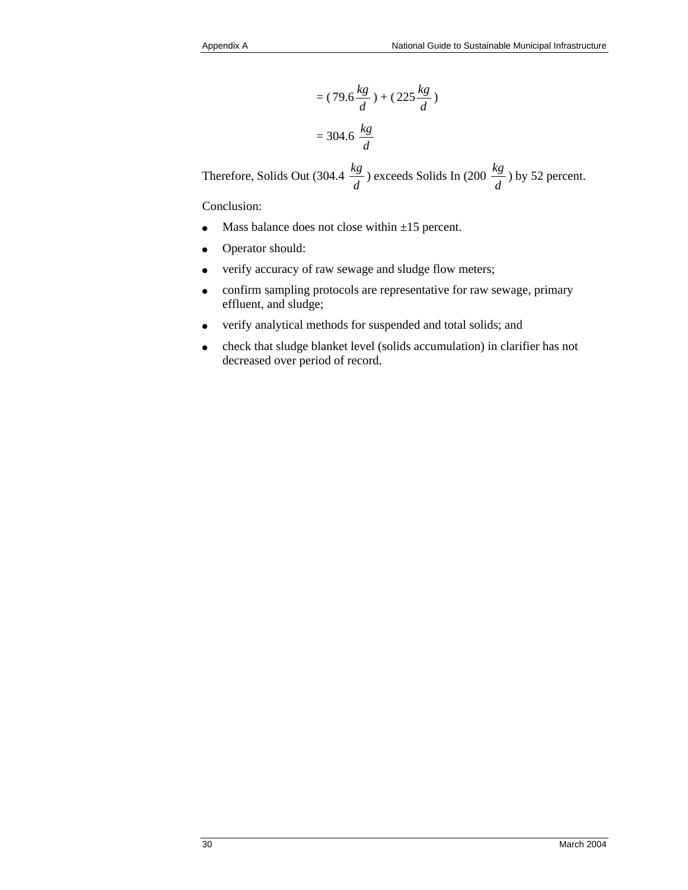$$
= (79.6 \frac{kg}{d}) + (225 \frac{kg}{d})
$$

$$
= 304.6 \frac{kg}{d}
$$

Therefore, Solids Out (304.4  $\frac{kg}{d}$ ) exceeds Solids In (200  $\frac{kg}{d}$ ) by 52 percent.

Conclusion:

- Mass balance does not close within  $\pm 15$  percent.
- Operator should:
- verify accuracy of raw sewage and sludge flow meters;
- confirm sampling protocols are representative for raw sewage, primary effluent, and sludge;
- verify analytical methods for suspended and total solids; and
- ( check that sludge blanket level (solids accumulation) in clarifier has not decreased over period of record.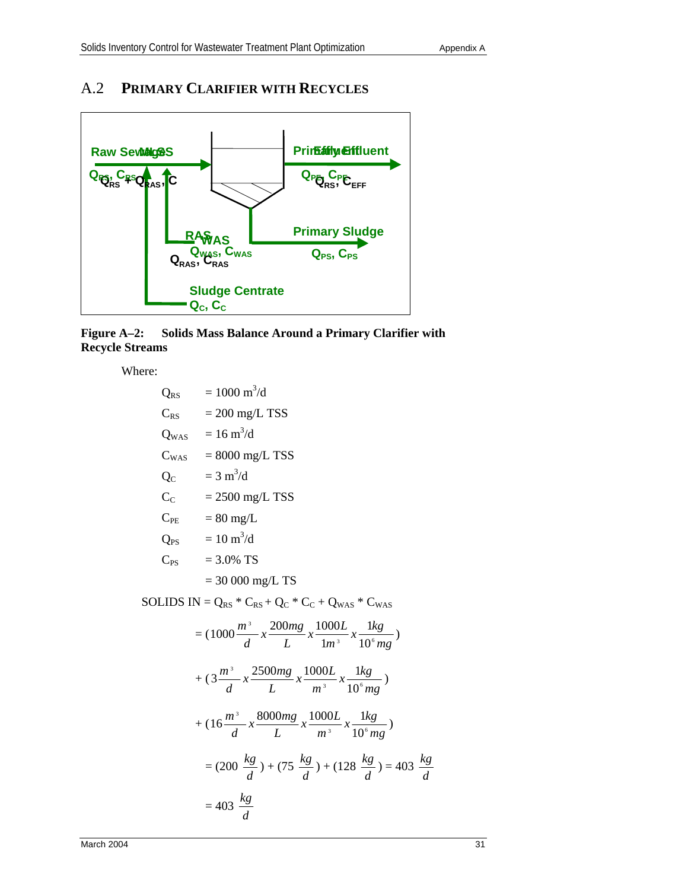## A.2 **PRIMARY CLARIFIER WITH RECYCLES**



**Figure A–2: Solids Mass Balance Around a Primary Clarifier with Recycle Streams** 

Where:

| $Q_{RS}$ | $= 1000 \text{ m}^3/\text{d}$                                                            |
|----------|------------------------------------------------------------------------------------------|
|          | $C_{RS}$ = 200 mg/L TSS                                                                  |
|          | $Q_{\text{WAS}}$ = 16 m <sup>3</sup> /d                                                  |
|          | $C_{\text{WAS}}$ = 8000 mg/L TSS                                                         |
| $Q_{C}$  | $= 3 \text{ m}^3/\text{d}$                                                               |
|          | $C_C$ = 2500 mg/L TSS                                                                    |
|          | $C_{PE}$ = 80 mg/L                                                                       |
|          | $Q_{PS}$ = 10 m <sup>3</sup> /d                                                          |
|          | $C_{PS}$ = 3.0% TS                                                                       |
|          | $= 30000$ mg/L TS                                                                        |
|          | SOLIDS IN = $Q_{RS}$ * $C_{RS}$ + $Q_C$ * $C_C$ + $Q_{WAS}$ * $C_{WAS}$                  |
|          | $= (1000 \frac{m^3}{d} x \frac{200mg}{L} x \frac{1000L}{lm^3} x \frac{1kg}{10^6mg})$     |
|          | $+ (3\frac{m^3}{d}x \frac{2500mg}{L}x \frac{1000L}{m^3}x \frac{1kg}{10^6mg})$            |
|          | $+ (16 \frac{m^3}{d} x \frac{8000mg}{L} x \frac{1000L}{m^3} x \frac{1kg}{10^6 m\omega})$ |
|          | $= (200 \frac{kg}{d}) + (75 \frac{kg}{d}) + (128 \frac{kg}{d}) = 403 \frac{kg}{d}$       |
|          | $= 403 \frac{kg}{d}$                                                                     |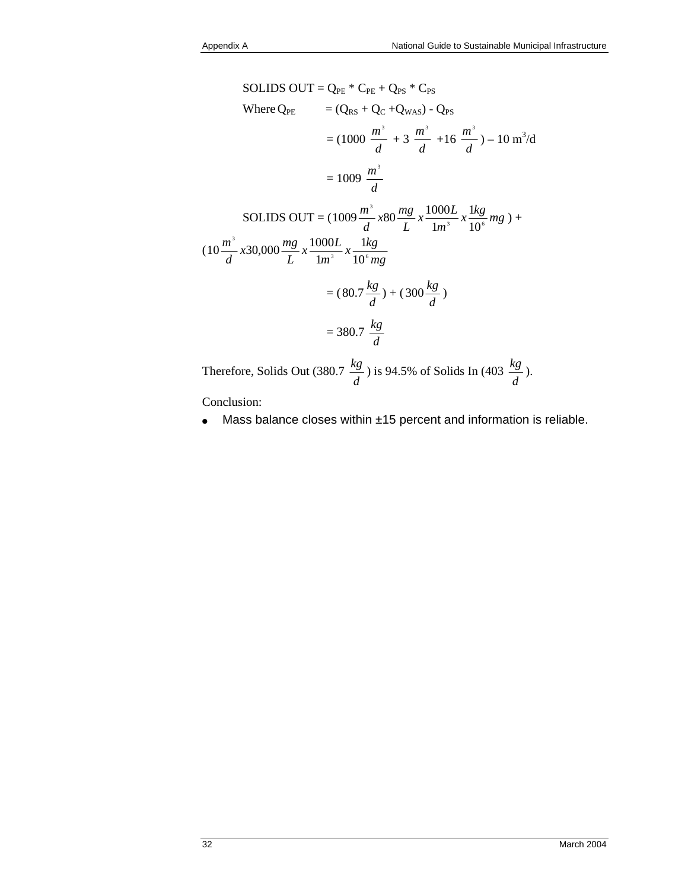SOLIDS OUT = Q<sub>PE</sub> \* C<sub>PE</sub> + Q<sub>PS</sub> \* C<sub>PS</sub>  
\nWhere Q<sub>PE</sub> = (Q<sub>RS</sub> + Q<sub>C</sub> + Q<sub>WAS</sub>) - Q<sub>PS</sub>  
\n= (1000 
$$
\frac{m^3}{d} + 3 \frac{m^3}{d} + 16 \frac{m^3}{d} - 10 m^3/d
$$
  
\n= 1009  $\frac{m^3}{d}$   
\nSOLIDS OUT = (1009  $\frac{m^3}{d} \times 80 \frac{mg}{L} \times \frac{1000L}{1m^3} \times \frac{1kg}{10^6} mg + 10 \frac{m^3}{d} \times 30,000 \frac{mg}{L} \times \frac{1000L}{1m^3} \times \frac{1kg}{10^6 mg}$   
\n= (80.7  $\frac{kg}{d}$ ) + (300  $\frac{kg}{d}$ )  
\n= 380.7  $\frac{kg}{d}$ 

Therefore, Solids Out (380.7  $\frac{kg}{d}$ ) is 94.5% of Solids In (403  $\frac{kg}{d}$ ).

Conclusion:

(

 $\bullet$  Mass balance closes within  $\pm 15$  percent and information is reliable.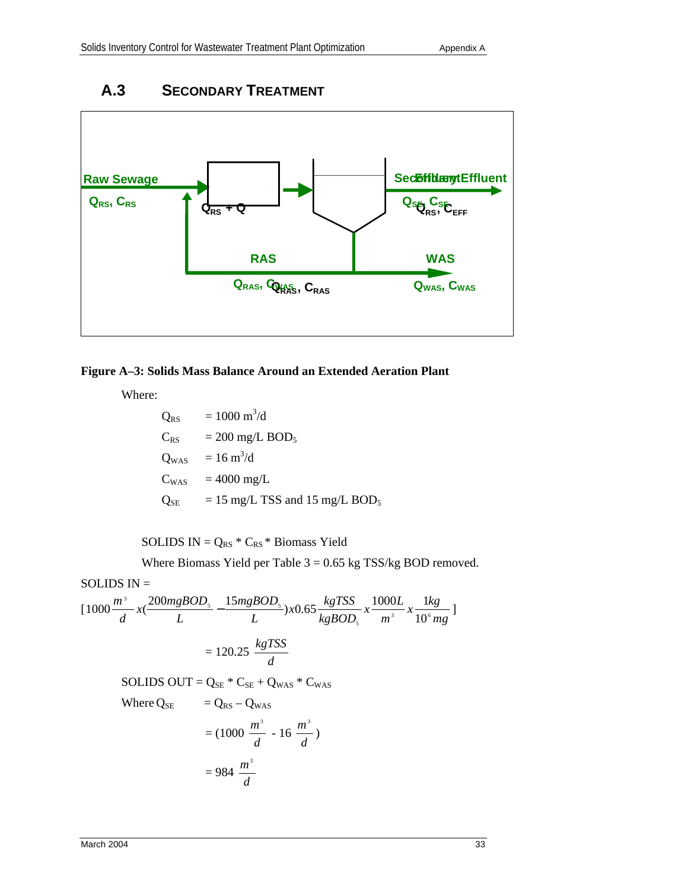

## **A.3 SECONDARY TREATMENT**

### **Figure A–3: Solids Mass Balance Around an Extended Aeration Plant**

Where:

$$
Q_{RS} = 1000 \text{ m}^3/\text{d}
$$
  
\n
$$
C_{RS} = 200 \text{ mg/L BOD}_5
$$
  
\n
$$
Q_{WAS} = 16 \text{ m}^3/\text{d}
$$
  
\n
$$
C_{WAS} = 4000 \text{ mg/L}
$$
  
\n
$$
Q_{SE} = 15 \text{ mg/L TSS and } 15 \text{ mg/L BOD}_5
$$

SOLIDS  $IN = Q_{RS} * C_{RS} * Biomass$  Yield

Where Biomass Yield per Table  $3 = 0.65$  kg TSS/kg BOD removed.

SOLIDS IN =  
\n
$$
[1000 \frac{m^3}{d} x(\frac{200mgBOD_s}{L} - \frac{15mgBOD_s}{L})x0.65 \frac{kgTSS}{kgBOD_s} x \frac{1000L}{m^3} x \frac{1kg}{10^6 mg}]
$$
\n
$$
= 120.25 \frac{kgTSS}{d}
$$
\nSOLIDS OUT = Q<sub>SE</sub> \* C<sub>SE</sub> + Q<sub>WAS</sub> \* C<sub>WAS</sub>  
\nWhere Q<sub>SE</sub> = Q<sub>RS</sub> - Q<sub>WAS</sub>  
\n= (1000  $\frac{m^3}{d}$  - 16  $\frac{m^3}{d}$ )

 $= 984$ 

*d*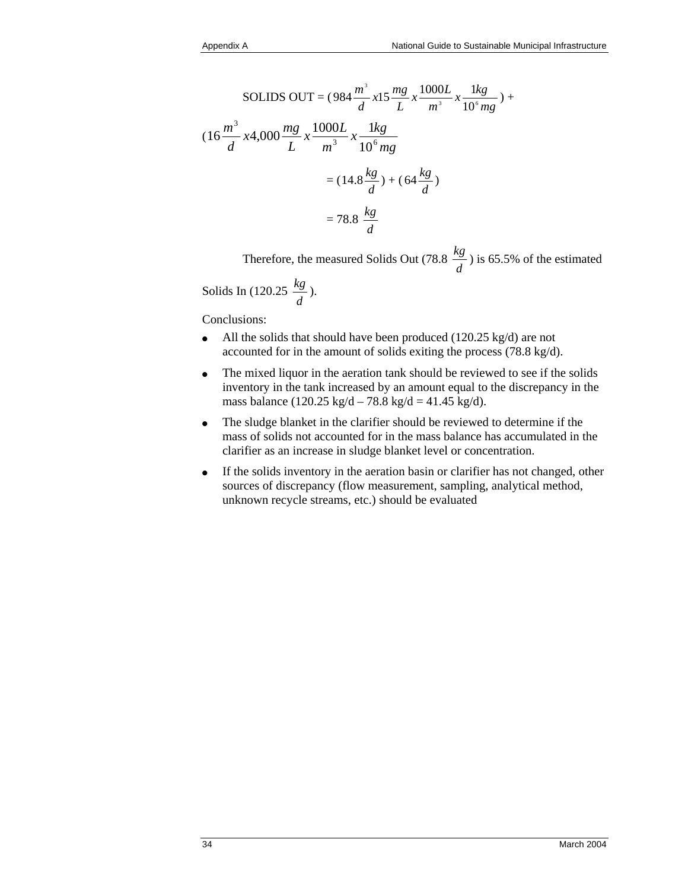SOLIDS OUT = 
$$
(984 \frac{m^3}{d} \times 15 \frac{mg}{L} \times \frac{1000L}{m^3} \times \frac{1kg}{10^6 mg}) +
$$
  
\n $(16 \frac{m^3}{d} \times 4,000 \frac{mg}{L} \times \frac{1000L}{m^3} \times \frac{1kg}{10^6 mg})$   
\n=  $(14.8 \frac{kg}{d}) + (64 \frac{kg}{d})$   
\n=  $78.8 \frac{kg}{d}$ 

Therefore, the measured Solids Out (78.8  $\frac{kg}{d}$ ) is 65.5% of the estimated

$$
Solids In (120.25 \frac{kg}{d}).
$$

Conclusions:

- All the solids that should have been produced (120.25 kg/d) are not accounted for in the amount of solids exiting the process (78.8 kg/d).
- The mixed liquor in the aeration tank should be reviewed to see if the solids inventory in the tank increased by an amount equal to the discrepancy in the mass balance (120.25 kg/d – 78.8 kg/d = 41.45 kg/d).
- The sludge blanket in the clarifier should be reviewed to determine if the mass of solids not accounted for in the mass balance has accumulated in the clarifier as an increase in sludge blanket level or concentration.
- If the solids inventory in the aeration basin or clarifier has not changed, other sources of discrepancy (flow measurement, sampling, analytical method, unknown recycle streams, etc.) should be evaluated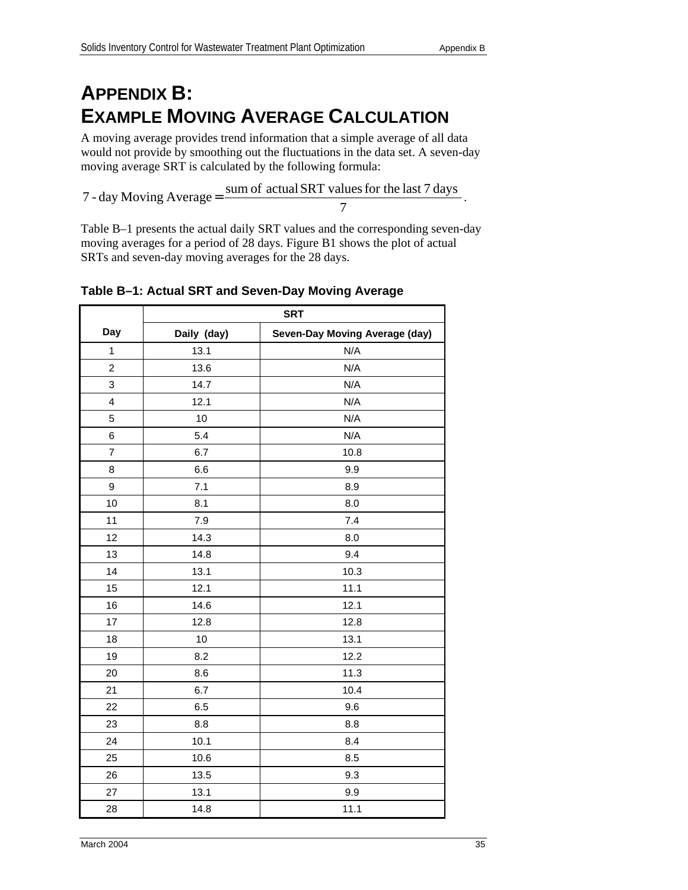# **APPENDIX B: EXAMPLE MOVING AVERAGE CALCULATION**

A moving average provides trend information that a simple average of all data would not provide by smoothing out the fluctuations in the data set. A seven-day moving average SRT is calculated by the following formula:

7 - day Moving Average  $=$  sum of actual SRT values for the last 7 days

7

Table B–1 presents the actual daily SRT values and the corresponding seven-day moving averages for a period of 28 days. Figure B1 shows the plot of actual SRTs and seven-day moving averages for the 28 days.

|                         | <b>SRT</b>  |                                |  |
|-------------------------|-------------|--------------------------------|--|
| Day                     | Daily (day) | Seven-Day Moving Average (day) |  |
| $\mathbf{1}$            | 13.1        | N/A                            |  |
| 2                       | 13.6        | N/A                            |  |
| 3                       | 14.7        | N/A                            |  |
| $\overline{\mathbf{4}}$ | 12.1        | N/A                            |  |
| 5                       | 10          | N/A                            |  |
| 6                       | 5.4         | N/A                            |  |
| $\overline{7}$          | 6.7         | 10.8                           |  |
| 8                       | 6.6         | 9.9                            |  |
| 9                       | 7.1         | 8.9                            |  |
| 10                      | 8.1         | 8.0                            |  |
| 11                      | 7.9         | 7.4                            |  |
| 12                      | 14.3        | 8.0                            |  |
| 13                      | 14.8        | 9.4                            |  |
| 14                      | 13.1        | 10.3                           |  |
| 15                      | 12.1        | 11.1                           |  |
| 16                      | 14.6        | 12.1                           |  |
| 17                      | 12.8        | 12.8                           |  |
| 18                      | 10          | 13.1                           |  |
| 19                      | 8.2         | 12.2                           |  |
| 20                      | 8.6         | 11.3                           |  |
| 21                      | 6.7         | 10.4                           |  |
| 22                      | 6.5         | 9.6                            |  |
| 23                      | 8.8         | 8.8                            |  |
| 24                      | 10.1        | 8.4                            |  |
| 25                      | 10.6        | 8.5                            |  |
| 26                      | 13.5        | 9.3                            |  |
| 27                      | 13.1        | 9.9                            |  |
| 28                      | 14.8        | 11.1                           |  |

### **Table B–1: Actual SRT and Seven-Day Moving Average**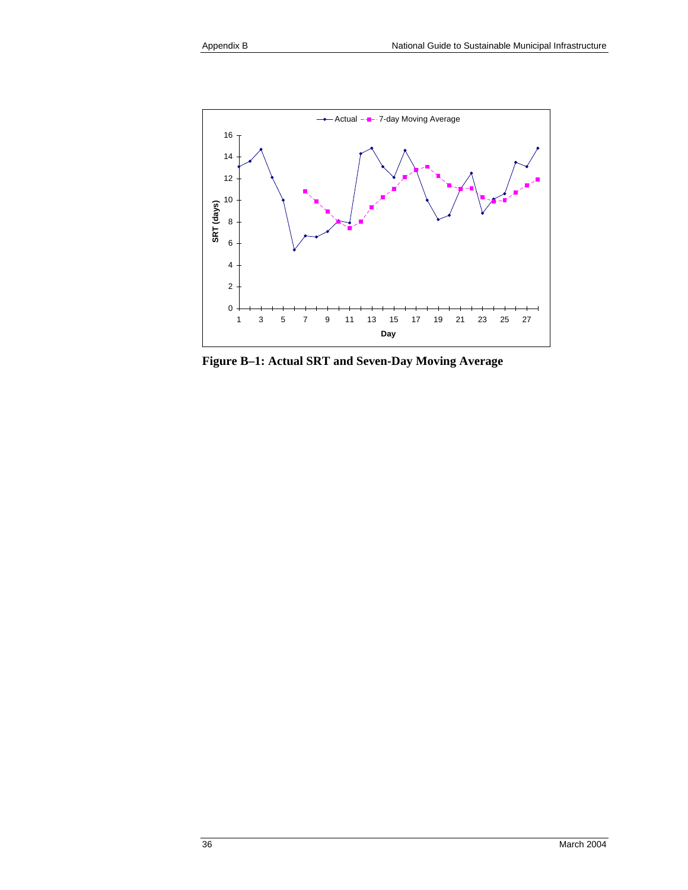

**Figure B–1: Actual SRT and Seven-Day Moving Average**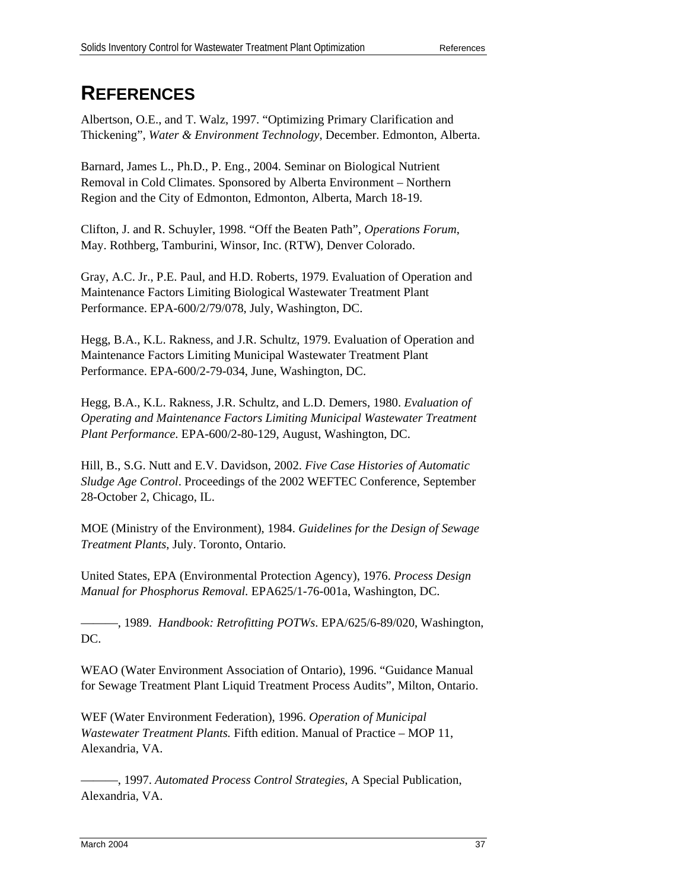# **REFERENCES**

Albertson, O.E., and T. Walz, 1997. "Optimizing Primary Clarification and Thickening", *Water & Environment Technology*, December. Edmonton, Alberta.

Barnard, James L., Ph.D., P. Eng., 2004. Seminar on Biological Nutrient Removal in Cold Climates. Sponsored by Alberta Environment – Northern Region and the City of Edmonton, Edmonton, Alberta, March 18-19.

Clifton, J. and R. Schuyler, 1998. "Off the Beaten Path", *Operations Forum*, May. Rothberg, Tamburini, Winsor, Inc. (RTW), Denver Colorado.

Gray, A.C. Jr., P.E. Paul, and H.D. Roberts, 1979. Evaluation of Operation and Maintenance Factors Limiting Biological Wastewater Treatment Plant Performance. EPA-600/2/79/078, July, Washington, DC.

Hegg, B.A., K.L. Rakness, and J.R. Schultz, 1979. Evaluation of Operation and Maintenance Factors Limiting Municipal Wastewater Treatment Plant Performance. EPA-600/2-79-034, June, Washington, DC.

Hegg, B.A., K.L. Rakness, J.R. Schultz, and L.D. Demers, 1980. *Evaluation of Operating and Maintenance Factors Limiting Municipal Wastewater Treatment Plant Performance*. EPA-600/2-80-129, August, Washington, DC.

Hill, B., S.G. Nutt and E.V. Davidson, 2002. *Five Case Histories of Automatic Sludge Age Control*. Proceedings of the 2002 WEFTEC Conference, September 28-October 2, Chicago, IL.

MOE (Ministry of the Environment), 1984. *Guidelines for the Design of Sewage Treatment Plants*, July. Toronto, Ontario.

United States, EPA (Environmental Protection Agency), 1976. *Process Design Manual for Phosphorus Removal.* EPA625/1-76-001a, Washington, DC.

———, 1989. *Handbook: Retrofitting POTWs*. EPA/625/6-89/020, Washington, DC.

WEAO (Water Environment Association of Ontario), 1996. "Guidance Manual for Sewage Treatment Plant Liquid Treatment Process Audits", Milton, Ontario.

WEF (Water Environment Federation), 1996. *Operation of Municipal Wastewater Treatment Plants.* Fifth edition. Manual of Practice – MOP 11, Alexandria, VA.

———, 1997. *Automated Process Control Strategies*, A Special Publication, Alexandria, VA.